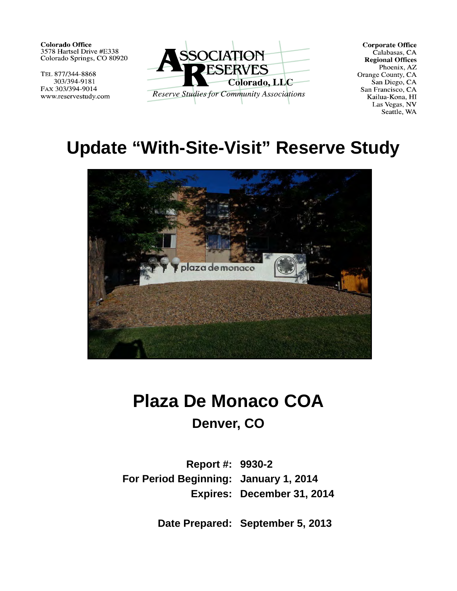**Colorado Office** 3578 Hartsel Drive #E338 Colorado Springs, CO 80920

TEL 877/344-8868 303/394-9181 FAX 303/394-9014 www.reservestudy.com



**Corporate Office** Calabasas, CA **Regional Offices** Phoenix, AZ Orange County, CA San Diego, CA San Francisco, CA Kailua-Kona, HI Las Vegas, NV Seattle, WA

# **Update "With-Site-Visit" Reserve Study**



# **Plaza De Monaco COA Denver, CO**

**Report #: 9930-2 For Period Beginning: January 1, 2014 Expires: December 31, 2014** 

**Date Prepared: September 5, 2013**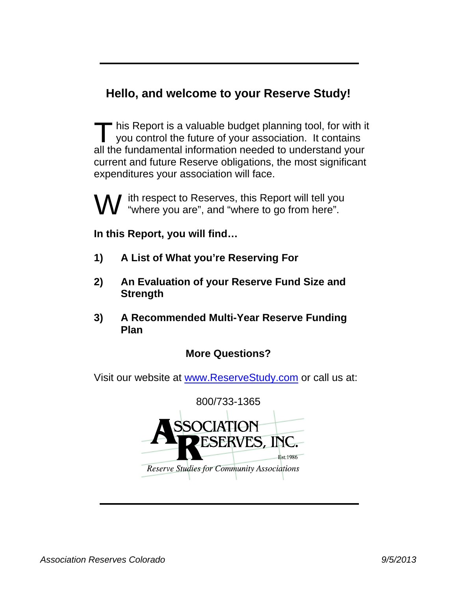## **Hello, and welcome to your Reserve Study!**

his Report is a valuable budget planning tool, for with it you control the future of your association. It contains This Report is a valuable budget planning tool, for with it you control the future of your association. It contains all the fundamental information needed to understand your current and future Reserve obligations, the most significant expenditures your association will face.

ith respect to Reserves, this Report will tell you "where you are", and "where to go from here". W

**In this Report, you will find…** 

- **1) A List of What you're Reserving For**
- **2) An Evaluation of your Reserve Fund Size and Strength**
- **3) A Recommended Multi-Year Reserve Funding Plan**

#### **More Questions?**

Visit our website at www.ReserveStudy.com or call us at:

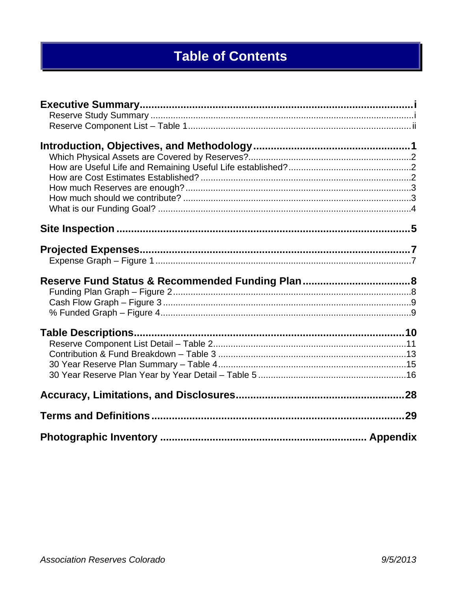# **Table of Contents**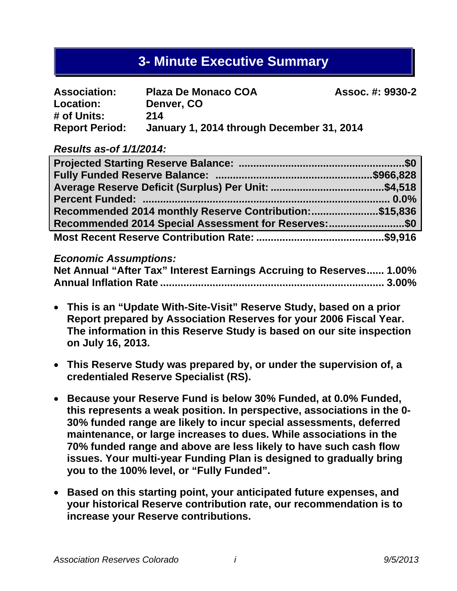## **3- Minute Executive Summary**

| <b>Association:</b>   | <b>Plaza De Monaco COA</b>                | Assoc. #: 9930-2 |
|-----------------------|-------------------------------------------|------------------|
| <b>Location:</b>      | Denver, CO                                |                  |
| # of Units:           | 214                                       |                  |
| <b>Report Period:</b> | January 1, 2014 through December 31, 2014 |                  |

#### *Results as-of 1/1/2014:*

| Recommended 2014 monthly Reserve Contribution:\$15,836 |  |
|--------------------------------------------------------|--|
| Recommended 2014 Special Assessment for Reserves:\$0   |  |
|                                                        |  |

#### *Economic Assumptions:*

| Net Annual "After Tax" Interest Earnings Accruing to Reserves 1.00% |  |
|---------------------------------------------------------------------|--|
|                                                                     |  |

- **This is an "Update With-Site-Visit" Reserve Study, based on a prior Report prepared by Association Reserves for your 2006 Fiscal Year. The information in this Reserve Study is based on our site inspection on July 16, 2013.**
- **This Reserve Study was prepared by, or under the supervision of, a credentialed Reserve Specialist (RS).**
- **Because your Reserve Fund is below 30% Funded, at 0.0% Funded, this represents a weak position. In perspective, associations in the 0- 30% funded range are likely to incur special assessments, deferred maintenance, or large increases to dues. While associations in the 70% funded range and above are less likely to have such cash flow issues. Your multi-year Funding Plan is designed to gradually bring you to the 100% level, or "Fully Funded".**
- **Based on this starting point, your anticipated future expenses, and your historical Reserve contribution rate, our recommendation is to increase your Reserve contributions.**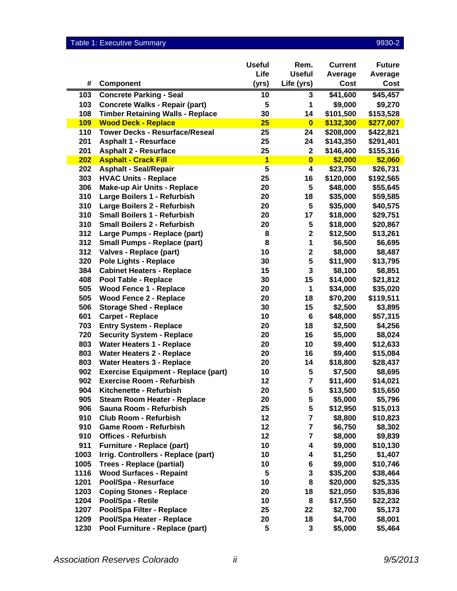| 9930- |
|-------|
|       |

|            |                                            | <b>Useful</b>           | Rem.                    | <b>Current</b> | <b>Future</b> |
|------------|--------------------------------------------|-------------------------|-------------------------|----------------|---------------|
|            |                                            | Life                    | <b>Useful</b>           | Average        | Average       |
| #          | <b>Component</b>                           | (yrs)                   | Life (yrs)              | Cost           | Cost          |
| 103        | <b>Concrete Parking - Seal</b>             | 10                      | 3                       | \$41,600       | \$45,457      |
| 103        | <b>Concrete Walks - Repair (part)</b>      | 5                       | 1                       | \$9,000        | \$9,270       |
| 108        | <b>Timber Retaining Walls - Replace</b>    | 30                      | 14                      | \$101,500      | \$153,528     |
| <b>109</b> | <b>Wood Deck - Replace</b>                 | 25                      | $\overline{\mathbf{0}}$ | \$132,300      | \$277,007     |
| 110        | <b>Tower Decks - Resurface/Reseal</b>      | 25                      | 24                      | \$208,000      | \$422,821     |
| 201        | <b>Asphalt 1 - Resurface</b>               | 25                      | 24                      | \$143,350      | \$291,401     |
| 201        | <b>Asphalt 2 - Resurface</b>               | 25                      | $\mathbf 2$             | \$146,400      | \$155,316     |
| 202        | <b>Asphalt - Crack Fill</b>                | $\overline{\mathbf{1}}$ | $\overline{\mathbf{0}}$ | \$2,000        | \$2,060       |
| 202        | <b>Asphalt - Seal/Repair</b>               | 5                       | 4                       | \$23,750       | \$26,731      |
| 303        | <b>HVAC Units - Replace</b>                | 25                      | 16                      | \$120,000      | \$192,565     |
| 306        | <b>Make-up Air Units - Replace</b>         | 20                      | 5                       | \$48,000       | \$55,645      |
| 310        | Large Boilers 1 - Refurbish                | 20                      | 18                      | \$35,000       | \$59,585      |
| 310        | Large Boilers 2 - Refurbish                | 20                      | 5                       | \$35,000       | \$40,575      |
| 310        | <b>Small Boilers 1 - Refurbish</b>         | 20                      | 17                      | \$18,000       | \$29,751      |
| 310        | <b>Small Boilers 2 - Refurbish</b>         | 20                      | 5                       | \$18,000       | \$20,867      |
| 312        | Large Pumps - Replace (part)               | 8                       | $\mathbf 2$             | \$12,500       | \$13,261      |
| 312        | <b>Small Pumps - Replace (part)</b>        | 8                       | 1                       | \$6,500        | \$6,695       |
| 312        | Valves - Replace (part)                    | 10                      | $\mathbf 2$             | \$8,000        | \$8,487       |
| 320        | <b>Pole Lights - Replace</b>               | 30                      | 5                       | \$11,900       | \$13,795      |
| 384        | <b>Cabinet Heaters - Replace</b>           | 15                      | 3                       | \$8,100        | \$8,851       |
| 408        | Pool Table - Replace                       | 30                      | 15                      | \$14,000       | \$21,812      |
| 505        | <b>Wood Fence 1 - Replace</b>              | 20                      | 1                       | \$34,000       | \$35,020      |
| 505        | <b>Wood Fence 2 - Replace</b>              | 20                      | 18                      | \$70,200       | \$119,511     |
| 506        | <b>Storage Shed - Replace</b>              | 30                      | 15                      | \$2,500        | \$3,895       |
| 601        | <b>Carpet - Replace</b>                    | 10                      | 6                       | \$48,000       | \$57,315      |
| 703        | <b>Entry System - Replace</b>              | 20                      | 18                      | \$2,500        | \$4,256       |
| 720        | <b>Security System - Replace</b>           | 20                      | 16                      | \$5,000        | \$8,024       |
| 803        | <b>Water Heaters 1 - Replace</b>           | 20                      | 10                      | \$9,400        | \$12,633      |
| 803        | <b>Water Heaters 2 - Replace</b>           | 20                      | 16                      | \$9,400        | \$15,084      |
| 803        | <b>Water Heaters 3 - Replace</b>           | 20                      | 14                      | \$18,800       | \$28,437      |
| 902        | <b>Exercise Equipment - Replace (part)</b> | 10                      | 5                       | \$7,500        | \$8,695       |
| 902        | <b>Exercise Room - Refurbish</b>           | 12                      | $\overline{\mathbf{r}}$ | \$11,400       | \$14,021      |
| 904        | Kitchenette - Refurbish                    | 20                      | 5                       | \$13,500       | \$15,650      |
| 905        | <b>Steam Room Heater - Replace</b>         | 20                      | 5                       | \$5,000        | \$5,796       |
| 906        | Sauna Room - Refurbish                     | 25                      | 5                       | \$12,950       | \$15,013      |
| 910        | <b>Club Room - Refurbish</b>               | 12                      | 7                       | \$8,800        | \$10,823      |
| 910        | <b>Game Room - Refurbish</b>               | 12                      | 7                       | \$6,750        | \$8,302       |
| 910        | <b>Offices - Refurbish</b>                 | 12                      | 7                       | \$8,000        | \$9,839       |
| 911        | <b>Furniture - Replace (part)</b>          | 10                      | 4                       | \$9,000        | \$10,130      |
| 1003       | Irrig. Controllers - Replace (part)        | 10                      | 4                       | \$1,250        | \$1,407       |
| 1005       | <b>Trees - Replace (partial)</b>           | 10                      | 6                       | \$9,000        | \$10,746      |
| 1116       | <b>Wood Surfaces - Repaint</b>             | 5                       | 3                       | \$35,200       | \$38,464      |
| 1201       | Pool/Spa - Resurface                       | 10                      | 8                       | \$20,000       | \$25,335      |
| 1203       | <b>Coping Stones - Replace</b>             | 20                      | 18                      | \$21,050       | \$35,836      |
| 1204       | Pool/Spa - Retile                          | 10                      | 8                       | \$17,550       | \$22,232      |
| 1207       | Pool/Spa Filter - Replace                  | 25                      | 22                      | \$2,700        | \$5,173       |
| 1209       | Pool/Spa Heater - Replace                  | 20                      | 18                      | \$4,700        | \$8,001       |
| 1230       | Pool Furniture - Replace (part)            | 5                       | 3                       | \$5,000        | \$5,464       |
|            |                                            |                         |                         |                |               |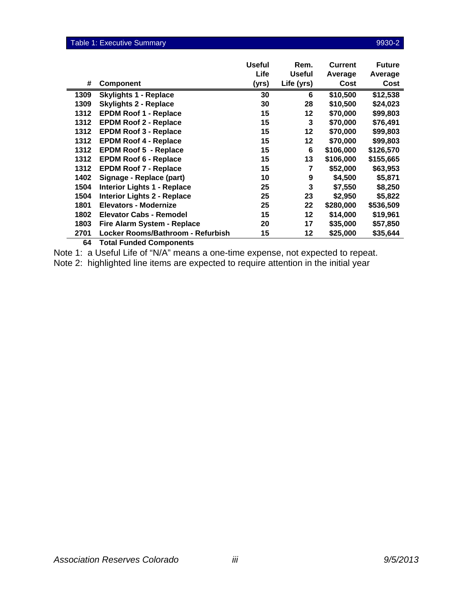|      |                                    | <b>Useful</b> | Rem.          | <b>Current</b> | <b>Future</b> |
|------|------------------------------------|---------------|---------------|----------------|---------------|
|      |                                    | Life          | <b>Useful</b> | Average        | Average       |
| #    | <b>Component</b>                   | (yrs)         | Life (yrs)    | Cost           | Cost          |
| 1309 | <b>Skylights 1 - Replace</b>       | 30            | 6             | \$10,500       | \$12,538      |
| 1309 | <b>Skylights 2 - Replace</b>       | 30            | 28            | \$10,500       | \$24,023      |
| 1312 | <b>EPDM Roof 1 - Replace</b>       | 15            | 12            | \$70,000       | \$99,803      |
| 1312 | <b>EPDM Roof 2 - Replace</b>       | 15            | 3             | \$70,000       | \$76,491      |
| 1312 | <b>EPDM Roof 3 - Replace</b>       | 15            | 12            | \$70,000       | \$99,803      |
| 1312 | <b>EPDM Roof 4 - Replace</b>       | 15            | 12            | \$70,000       | \$99,803      |
| 1312 | <b>EPDM Roof 5 - Replace</b>       | 15            | 6             | \$106,000      | \$126,570     |
| 1312 | <b>EPDM Roof 6 - Replace</b>       | 15            | 13            | \$106,000      | \$155,665     |
| 1312 | <b>EPDM Roof 7 - Replace</b>       | 15            | 7             | \$52,000       | \$63,953      |
| 1402 | Signage - Replace (part)           | 10            | 9             | \$4,500        | \$5,871       |
| 1504 | <b>Interior Lights 1 - Replace</b> | 25            | 3             | \$7,550        | \$8,250       |
| 1504 | <b>Interior Lights 2 - Replace</b> | 25            | 23            | \$2,950        | \$5,822       |
| 1801 | <b>Elevators - Modernize</b>       | 25            | 22            | \$280,000      | \$536,509     |
| 1802 | <b>Elevator Cabs - Remodel</b>     | 15            | 12            | \$14,000       | \$19,961      |
| 1803 | Fire Alarm System - Replace        | 20            | 17            | \$35,000       | \$57,850      |
| 2701 | Locker Rooms/Bathroom - Refurbish  | 15            | 12            | \$25,000       | \$35,644      |

**64 Total Funded Components** 

Note 1: a Useful Life of "N/A" means a one-time expense, not expected to repeat.

Note 2: highlighted line items are expected to require attention in the initial year

**Table 1: Executive Summary 60 August 2018 12: Executive Summary** 9930-2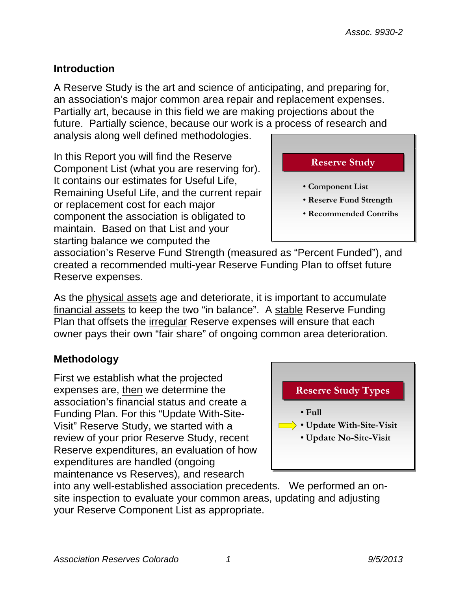#### **Introduction**

A Reserve Study is the art and science of anticipating, and preparing for, an association's major common area repair and replacement expenses. Partially art, because in this field we are making projections about the future. Partially science, because our work is a process of research and analysis along well defined methodologies.

In this Report you will find the Reserve Component List (what you are reserving for). It contains our estimates for Useful Life, Remaining Useful Life, and the current repair or replacement cost for each major component the association is obligated to maintain. Based on that List and your starting balance we computed the



association's Reserve Fund Strength (measured as "Percent Funded"), and created a recommended multi-year Reserve Funding Plan to offset future Reserve expenses.

As the physical assets age and deteriorate, it is important to accumulate financial assets to keep the two "in balance". A stable Reserve Funding Plan that offsets the irregular Reserve expenses will ensure that each owner pays their own "fair share" of ongoing common area deterioration.

#### **Methodology**

First we establish what the projected expenses are, then we determine the association's financial status and create a Funding Plan. For this "Update With-Site-Visit" Reserve Study, we started with a review of your prior Reserve Study, recent Reserve expenditures, an evaluation of how expenditures are handled (ongoing maintenance vs Reserves), and research



into any well-established association precedents. We performed an onsite inspection to evaluate your common areas, updating and adjusting your Reserve Component List as appropriate.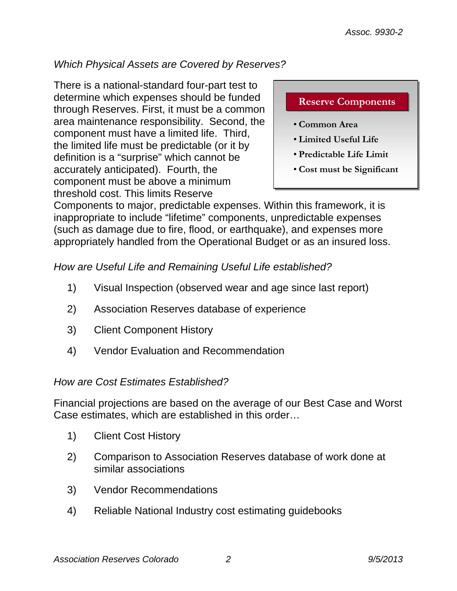#### *Which Physical Assets are Covered by Reserves?*

There is a national-standard four-part test to determine which expenses should be funded through Reserves. First, it must be a common area maintenance responsibility. Second, the component must have a limited life. Third, the limited life must be predictable (or it by definition is a "surprise" which cannot be accurately anticipated). Fourth, the component must be above a minimum threshold cost. This limits Reserve



- **Common Area Common Area**
- **Limited Useful Life Limited Useful Life**
- **Predictable Life Limit Predictable Life Limit**
- **Cost must be Significant Cost must be Significant**

Components to major, predictable expenses. Within this framework, it is inappropriate to include "lifetime" components, unpredictable expenses (such as damage due to fire, flood, or earthquake), and expenses more appropriately handled from the Operational Budget or as an insured loss.

*How are Useful Life and Remaining Useful Life established?* 

- 1) Visual Inspection (observed wear and age since last report)
- 2) Association Reserves database of experience
- 3) Client Component History
- 4) Vendor Evaluation and Recommendation

#### *How are Cost Estimates Established?*

Financial projections are based on the average of our Best Case and Worst Case estimates, which are established in this order…

- 1) Client Cost History
- 2) Comparison to Association Reserves database of work done at similar associations
- 3) Vendor Recommendations
- 4) Reliable National Industry cost estimating guidebooks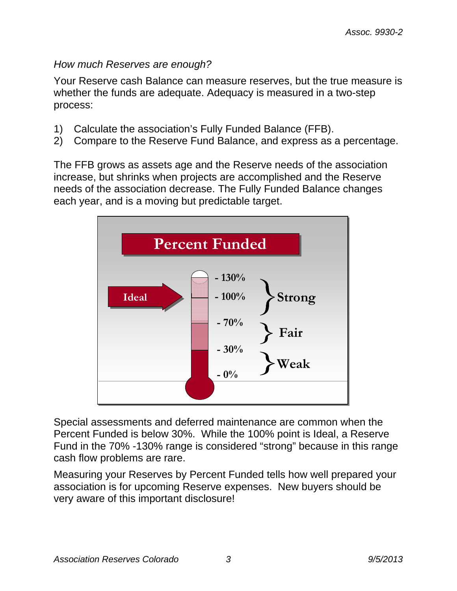#### *How much Reserves are enough?*

Your Reserve cash Balance can measure reserves, but the true measure is whether the funds are adequate. Adequacy is measured in a two-step process:

- 1) Calculate the association's Fully Funded Balance (FFB).
- 2) Compare to the Reserve Fund Balance, and express as a percentage.

The FFB grows as assets age and the Reserve needs of the association increase, but shrinks when projects are accomplished and the Reserve needs of the association decrease. The Fully Funded Balance changes each year, and is a moving but predictable target.



Special assessments and deferred maintenance are common when the Percent Funded is below 30%. While the 100% point is Ideal, a Reserve Fund in the 70% -130% range is considered "strong" because in this range cash flow problems are rare.

Measuring your Reserves by Percent Funded tells how well prepared your association is for upcoming Reserve expenses. New buyers should be very aware of this important disclosure!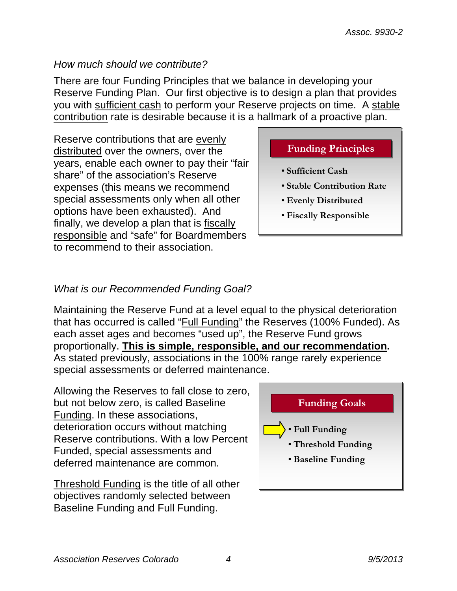#### *How much should we contribute?*

There are four Funding Principles that we balance in developing your Reserve Funding Plan. Our first objective is to design a plan that provides you with sufficient cash to perform your Reserve projects on time. A stable contribution rate is desirable because it is a hallmark of a proactive plan.

Reserve contributions that are evenly distributed over the owners, over the years, enable each owner to pay their "fair share" of the association's Reserve expenses (this means we recommend special assessments only when all other options have been exhausted). And finally, we develop a plan that is fiscally responsible and "safe" for Boardmembers to recommend to their association.

#### *What is our Recommended Funding Goal?*

Maintaining the Reserve Fund at a level equal to the physical deterioration that has occurred is called "Full Funding" the Reserves (100% Funded). As each asset ages and becomes "used up", the Reserve Fund grows proportionally. **This is simple, responsible, and our recommendation.**  As stated previously, associations in the 100% range rarely experience special assessments or deferred maintenance.

Allowing the Reserves to fall close to zero, but not below zero, is called Baseline Funding. In these associations, deterioration occurs without matching Reserve contributions. With a low Percent Funded, special assessments and deferred maintenance are common.

Threshold Funding is the title of all other objectives randomly selected between Baseline Funding and Full Funding.



**Funding Principles Funding Principles Funding Principles Funding Principles**

• **Stable Contribution Rate** • **Stable Contribution Rate**

• **Sufficient Cash** • **Sufficient Cash**

• **Evenly Distributed** • **Evenly Distributed**

• **Fiscally Responsible** • **Fiscally Responsible**

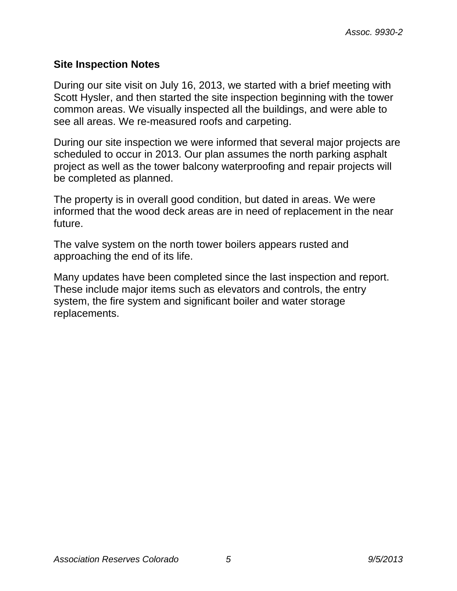#### **Site Inspection Notes**

During our site visit on July 16, 2013, we started with a brief meeting with Scott Hysler, and then started the site inspection beginning with the tower common areas. We visually inspected all the buildings, and were able to see all areas. We re-measured roofs and carpeting.

During our site inspection we were informed that several major projects are scheduled to occur in 2013. Our plan assumes the north parking asphalt project as well as the tower balcony waterproofing and repair projects will be completed as planned.

The property is in overall good condition, but dated in areas. We were informed that the wood deck areas are in need of replacement in the near future.

The valve system on the north tower boilers appears rusted and approaching the end of its life.

Many updates have been completed since the last inspection and report. These include major items such as elevators and controls, the entry system, the fire system and significant boiler and water storage replacements.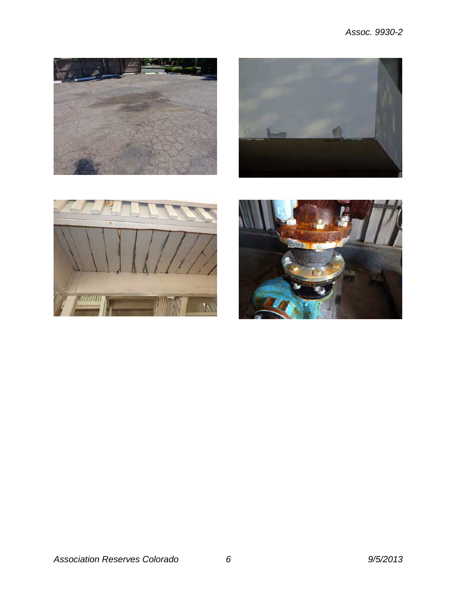





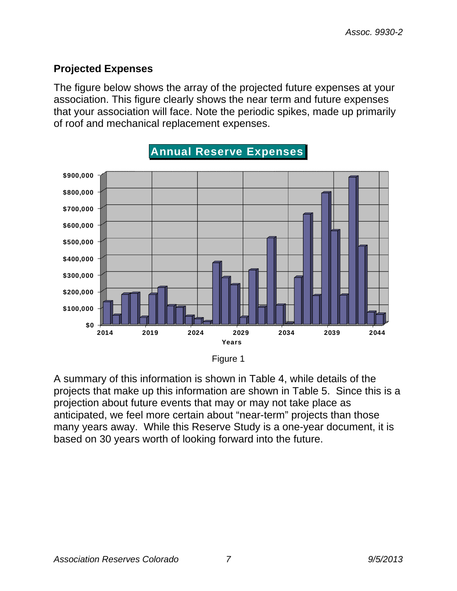### **Projected Expenses**

The figure below shows the array of the projected future expenses at your association. This figure clearly shows the near term and future expenses that your association will face. Note the periodic spikes, made up primarily of roof and mechanical replacement expenses.



A summary of this information is shown in Table 4, while details of the projects that make up this information are shown in Table 5. Since this is a projection about future events that may or may not take place as anticipated, we feel more certain about "near-term" projects than those many years away. While this Reserve Study is a one-year document, it is based on 30 years worth of looking forward into the future.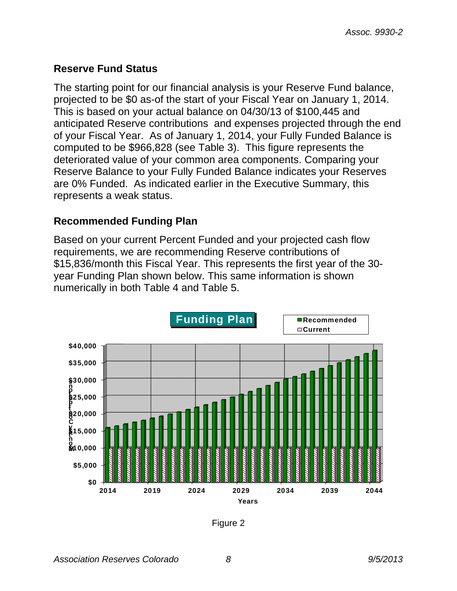#### **Reserve Fund Status**

The starting point for our financial analysis is your Reserve Fund balance, projected to be \$0 as-of the start of your Fiscal Year on January 1, 2014. This is based on your actual balance on 04/30/13 of \$100,445 and anticipated Reserve contributions and expenses projected through the end of your Fiscal Year. As of January 1, 2014, your Fully Funded Balance is computed to be \$966,828 (see Table 3). This figure represents the deteriorated value of your common area components. Comparing your Reserve Balance to your Fully Funded Balance indicates your Reserves are 0% Funded. As indicated earlier in the Executive Summary, this represents a weak status.

#### **Recommended Funding Plan**

Based on your current Percent Funded and your projected cash flow requirements, we are recommending Reserve contributions of \$15,836/month this Fiscal Year. This represents the first year of the 30 year Funding Plan shown below. This same information is shown numerically in both Table 4 and Table 5.



Figure 2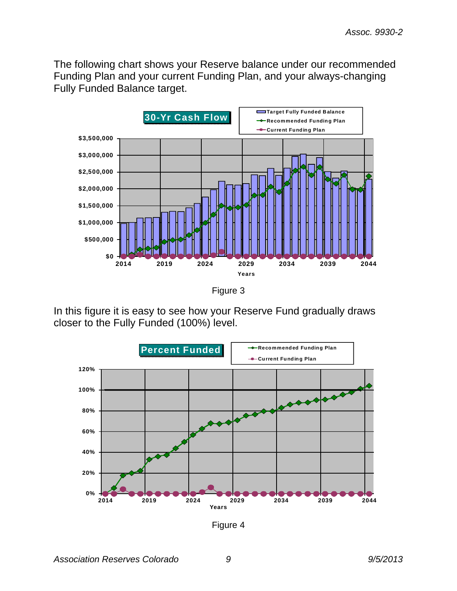The following chart shows your Reserve balance under our recommended Funding Plan and your current Funding Plan, and your always-changing Fully Funded Balance target.



In this figure it is easy to see how your Reserve Fund gradually draws closer to the Fully Funded (100%) level.



Figure 4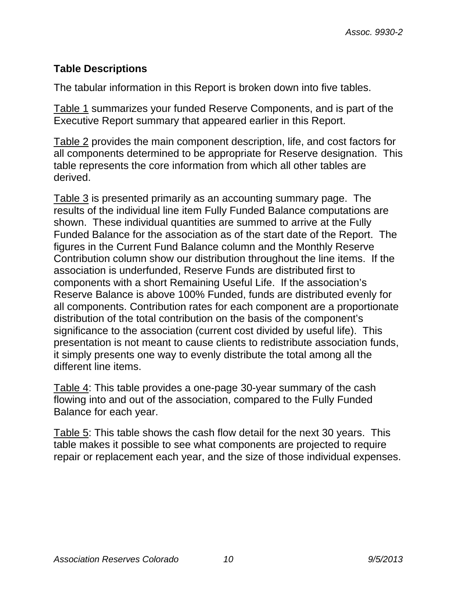#### **Table Descriptions**

The tabular information in this Report is broken down into five tables.

Table 1 summarizes your funded Reserve Components, and is part of the Executive Report summary that appeared earlier in this Report.

Table 2 provides the main component description, life, and cost factors for all components determined to be appropriate for Reserve designation. This table represents the core information from which all other tables are derived.

Table 3 is presented primarily as an accounting summary page. The results of the individual line item Fully Funded Balance computations are shown. These individual quantities are summed to arrive at the Fully Funded Balance for the association as of the start date of the Report. The figures in the Current Fund Balance column and the Monthly Reserve Contribution column show our distribution throughout the line items. If the association is underfunded, Reserve Funds are distributed first to components with a short Remaining Useful Life. If the association's Reserve Balance is above 100% Funded, funds are distributed evenly for all components. Contribution rates for each component are a proportionate distribution of the total contribution on the basis of the component's significance to the association (current cost divided by useful life). This presentation is not meant to cause clients to redistribute association funds, it simply presents one way to evenly distribute the total among all the different line items.

Table 4: This table provides a one-page 30-year summary of the cash flowing into and out of the association, compared to the Fully Funded Balance for each year.

Table 5: This table shows the cash flow detail for the next 30 years. This table makes it possible to see what components are projected to require repair or replacement each year, and the size of those individual expenses.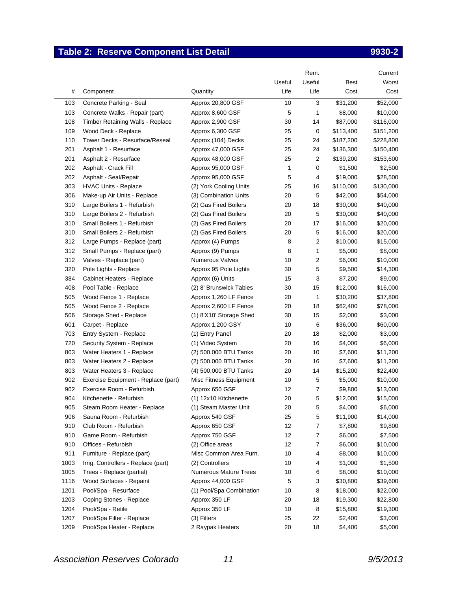#### **Table 2: Reserve Component List Detail 9930-2**

|      |                                     |                               | Rem.   |        |           | Current   |
|------|-------------------------------------|-------------------------------|--------|--------|-----------|-----------|
|      |                                     |                               | Useful | Useful | Best      | Worst     |
| #    | Component                           | Quantity                      | Life   | Life   | Cost      | Cost      |
| 103  | Concrete Parking - Seal             | Approx 20,800 GSF             | 10     | 3      | \$31,200  | \$52,000  |
| 103  | Concrete Walks - Repair (part)      | Approx 8,600 GSF              | 5      | 1      | \$8,000   | \$10,000  |
| 108  | Timber Retaining Walls - Replace    | Approx 2,900 GSF              | 30     | 14     | \$87,000  | \$116,000 |
| 109  | Wood Deck - Replace                 | Approx 6,300 GSF              | 25     | 0      | \$113,400 | \$151,200 |
| 110  | Tower Decks - Resurface/Reseal      | Approx (104) Decks            | 25     | 24     | \$187,200 | \$228,800 |
| 201  | Asphalt 1 - Resurface               | Approx 47,000 GSF             | 25     | 24     | \$136,300 | \$150,400 |
| 201  | Asphalt 2 - Resurface               | Approx 48,000 GSF             | 25     | 2      | \$139,200 | \$153,600 |
| 202  | Asphalt - Crack Fill                | Approx 95,000 GSF             | 1      | 0      | \$1,500   | \$2,500   |
| 202  | Asphalt - Seal/Repair               | Approx 95,000 GSF             | 5      | 4      | \$19,000  | \$28,500  |
| 303  | <b>HVAC Units - Replace</b>         | (2) York Cooling Units        | 25     | 16     | \$110,000 | \$130,000 |
| 306  | Make-up Air Units - Replace         | (3) Combination Units         | 20     | 5      | \$42,000  | \$54,000  |
| 310  | Large Boilers 1 - Refurbish         | (2) Gas Fired Boilers         | 20     | 18     | \$30,000  | \$40,000  |
| 310  | Large Boilers 2 - Refurbish         | (2) Gas Fired Boilers         | 20     | 5      | \$30,000  | \$40,000  |
| 310  | Small Boilers 1 - Refurbish         | (2) Gas Fired Boilers         | 20     | 17     | \$16,000  | \$20,000  |
| 310  | Small Boilers 2 - Refurbish         | (2) Gas Fired Boilers         | 20     | 5      | \$16,000  | \$20,000  |
| 312  | Large Pumps - Replace (part)        | Approx (4) Pumps              | 8      | 2      | \$10,000  | \$15,000  |
| 312  | Small Pumps - Replace (part)        | Approx (9) Pumps              | 8      | 1      | \$5,000   | \$8,000   |
| 312  | Valves - Replace (part)             | Numerous Valves               | 10     | 2      | \$6,000   | \$10,000  |
| 320  | Pole Lights - Replace               | Approx 95 Pole Lights         | 30     | 5      | \$9,500   | \$14,300  |
| 384  | Cabinet Heaters - Replace           | Approx (6) Units              | 15     | 3      | \$7,200   | \$9,000   |
| 408  | Pool Table - Replace                | (2) 8' Brunswick Tables       | 30     | 15     | \$12,000  | \$16,000  |
| 505  | Wood Fence 1 - Replace              | Approx 1,260 LF Fence         | 20     | 1      | \$30,200  | \$37,800  |
| 505  | Wood Fence 2 - Replace              | Approx 2,600 LF Fence         | 20     | 18     | \$62,400  | \$78,000  |
| 506  | Storage Shed - Replace              | (1) 8'X10' Storage Shed       | 30     | 15     | \$2,000   | \$3,000   |
| 601  | Carpet - Replace                    | Approx 1,200 GSY              | 10     | 6      | \$36,000  | \$60,000  |
| 703  | Entry System - Replace              | (1) Entry Panel               | 20     | 18     | \$2,000   | \$3,000   |
| 720  | Security System - Replace           | (1) Video System              | 20     | 16     | \$4,000   | \$6,000   |
| 803  | Water Heaters 1 - Replace           | (2) 500,000 BTU Tanks         | 20     | 10     | \$7,600   | \$11,200  |
| 803  | Water Heaters 2 - Replace           | (2) 500,000 BTU Tanks         | 20     | 16     | \$7,600   | \$11,200  |
| 803  | Water Heaters 3 - Replace           | (4) 500,000 BTU Tanks         | 20     | 14     | \$15,200  | \$22,400  |
| 902  | Exercise Equipment - Replace (part) | <b>Misc Fitness Equipment</b> | 10     | 5      | \$5,000   | \$10,000  |
| 902  | Exercise Room - Refurbish           | Approx 650 GSF                | 12     | 7      | \$9,800   | \$13,000  |
| 904  | Kitchenette - Refurbish             | (1) 12x10 Kitchenette         | 20     | 5      | \$12,000  | \$15,000  |
| 905  | Steam Room Heater - Replace         | (1) Steam Master Unit         | 20     | 5      | \$4,000   | \$6,000   |
| 906  | Sauna Room - Refurbish              | Approx 540 GSF                | 25     | 5      | \$11,900  | \$14,000  |
| 910  | Club Room - Refurbish               | Approx 650 GSF                | 12     | 7      | \$7,800   | \$9,800   |
| 910  | Game Room - Refurbish               | Approx 750 GSF                | 12     | 7      | \$6,000   | \$7,500   |
| 910  | Offices - Refurbish                 | (2) Office areas              | 12     | 7      | \$6,000   | \$10,000  |
| 911  | Furniture - Replace (part)          | Misc Common Area Furn.        | 10     | 4      | \$8,000   | \$10,000  |
| 1003 | Irrig. Controllers - Replace (part) | (2) Controllers               | 10     | 4      | \$1,000   | \$1,500   |
| 1005 | Trees - Replace (partial)           | <b>Numerous Mature Trees</b>  | 10     | 6      | \$8,000   | \$10,000  |
| 1116 | Wood Surfaces - Repaint             | Approx 44,000 GSF             | 5      | 3      | \$30,800  | \$39,600  |
| 1201 | Pool/Spa - Resurface                | (1) Pool/Spa Combination      | 10     | 8      | \$18,000  | \$22,000  |
| 1203 | Coping Stones - Replace             | Approx 350 LF                 | 20     | 18     | \$19,300  | \$22,800  |
| 1204 | Pool/Spa - Retile                   | Approx 350 LF                 | 10     | 8      | \$15,800  | \$19,300  |
| 1207 | Pool/Spa Filter - Replace           | (3) Filters                   | 25     | 22     | \$2,400   | \$3,000   |
| 1209 | Pool/Spa Heater - Replace           | 2 Raypak Heaters              | 20     | 18     | \$4,400   | \$5,000   |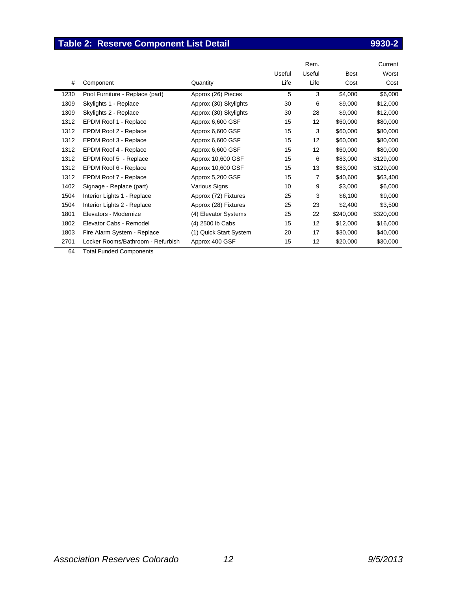### **Table 2: Reserve Component List Detail Component List Detail 9930-2**

|      |                                   |                        |        | Rem.   |             | Current   |
|------|-----------------------------------|------------------------|--------|--------|-------------|-----------|
|      |                                   |                        | Useful | Useful | <b>Best</b> | Worst     |
| #    | Component                         | Quantity               | Life   | Life   | Cost        | Cost      |
| 1230 | Pool Furniture - Replace (part)   | Approx (26) Pieces     | 5      | 3      | \$4,000     | \$6,000   |
| 1309 | Skylights 1 - Replace             | Approx (30) Skylights  | 30     | 6      | \$9,000     | \$12,000  |
| 1309 | Skylights 2 - Replace             | Approx (30) Skylights  | 30     | 28     | \$9,000     | \$12,000  |
| 1312 | EPDM Roof 1 - Replace             | Approx 6,600 GSF       | 15     | 12     | \$60,000    | \$80,000  |
| 1312 | EPDM Roof 2 - Replace             | Approx 6,600 GSF       | 15     | 3      | \$60,000    | \$80,000  |
| 1312 | EPDM Roof 3 - Replace             | Approx 6,600 GSF       | 15     | 12     | \$60,000    | \$80,000  |
| 1312 | EPDM Roof 4 - Replace             | Approx 6,600 GSF       | 15     | 12     | \$60,000    | \$80,000  |
| 1312 | EPDM Roof 5 - Replace             | Approx 10,600 GSF      | 15     | 6      | \$83,000    | \$129,000 |
| 1312 | EPDM Roof 6 - Replace             | Approx 10,600 GSF      | 15     | 13     | \$83,000    | \$129,000 |
| 1312 | EPDM Roof 7 - Replace             | Approx 5,200 GSF       | 15     | 7      | \$40,600    | \$63,400  |
| 1402 | Signage - Replace (part)          | Various Signs          | 10     | 9      | \$3,000     | \$6,000   |
| 1504 | Interior Lights 1 - Replace       | Approx (72) Fixtures   | 25     | 3      | \$6,100     | \$9,000   |
| 1504 | Interior Lights 2 - Replace       | Approx (28) Fixtures   | 25     | 23     | \$2,400     | \$3,500   |
| 1801 | Elevators - Modernize             | (4) Elevator Systems   | 25     | 22     | \$240,000   | \$320,000 |
| 1802 | Elevator Cabs - Remodel           | (4) 2500 lb Cabs       | 15     | 12     | \$12,000    | \$16,000  |
| 1803 | Fire Alarm System - Replace       | (1) Quick Start System | 20     | 17     | \$30,000    | \$40,000  |
| 2701 | Locker Rooms/Bathroom - Refurbish | Approx 400 GSF         | 15     | 12     | \$20,000    | \$30,000  |

64 Total Funded Components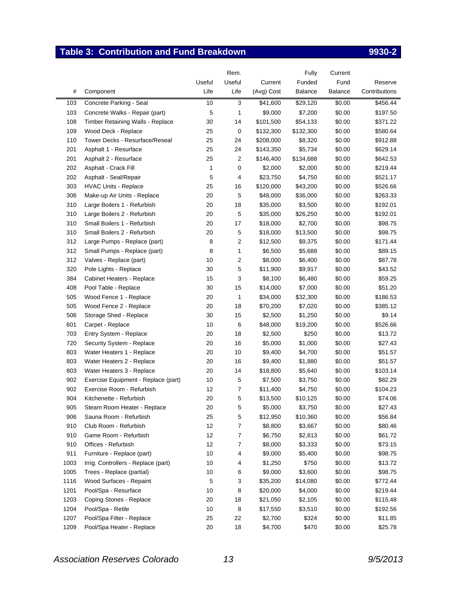#### **Table 3: Contribution and Fund Breakdown 19930-2**

|      |                                     |        | Rem.                    |            | Fully     | Current        |               |
|------|-------------------------------------|--------|-------------------------|------------|-----------|----------------|---------------|
|      |                                     | Useful | Useful                  | Current    | Funded    | Fund           | Reserve       |
| #    | Component                           | Life   | Life                    | (Avg) Cost | Balance   | <b>Balance</b> | Contributions |
| 103  | Concrete Parking - Seal             | 10     | 3                       | \$41,600   | \$29,120  | \$0.00         | \$456.44      |
| 103  | Concrete Walks - Repair (part)      | 5      | 1                       | \$9,000    | \$7,200   | \$0.00         | \$197.50      |
| 108  | Timber Retaining Walls - Replace    | 30     | 14                      | \$101,500  | \$54,133  | \$0.00         | \$371.22      |
| 109  | Wood Deck - Replace                 | 25     | 0                       | \$132,300  | \$132,300 | \$0.00         | \$580.64      |
| 110  | Tower Decks - Resurface/Reseal      | 25     | 24                      | \$208,000  | \$8,320   | \$0.00         | \$912.88      |
| 201  | Asphalt 1 - Resurface               | 25     | 24                      | \$143,350  | \$5,734   | \$0.00         | \$629.14      |
| 201  | Asphalt 2 - Resurface               | 25     | 2                       | \$146,400  | \$134,688 | \$0.00         | \$642.53      |
| 202  | Asphalt - Crack Fill                | 1      | 0                       | \$2,000    | \$2,000   | \$0.00         | \$219.44      |
| 202  | Asphalt - Seal/Repair               | 5      | 4                       | \$23,750   | \$4,750   | \$0.00         | \$521.17      |
| 303  | <b>HVAC Units - Replace</b>         | 25     | 16                      | \$120,000  | \$43,200  | \$0.00         | \$526.66      |
| 306  | Make-up Air Units - Replace         | 20     | 5                       | \$48,000   | \$36,000  | \$0.00         | \$263.33      |
| 310  | Large Boilers 1 - Refurbish         | 20     | 18                      | \$35,000   | \$3,500   | \$0.00         | \$192.01      |
| 310  | Large Boilers 2 - Refurbish         | 20     | 5                       | \$35,000   | \$26,250  | \$0.00         | \$192.01      |
| 310  | Small Boilers 1 - Refurbish         | 20     | 17                      | \$18,000   | \$2,700   | \$0.00         | \$98.75       |
| 310  | Small Boilers 2 - Refurbish         | 20     | 5                       | \$18,000   | \$13,500  | \$0.00         | \$98.75       |
| 312  | Large Pumps - Replace (part)        | 8      | 2                       | \$12,500   | \$9,375   | \$0.00         | \$171.44      |
| 312  | Small Pumps - Replace (part)        | 8      | 1                       | \$6,500    | \$5,688   | \$0.00         | \$89.15       |
| 312  | Valves - Replace (part)             | 10     | $\overline{\mathbf{c}}$ | \$8,000    | \$6,400   | \$0.00         | \$87.78       |
| 320  | Pole Lights - Replace               | 30     | 5                       | \$11,900   | \$9,917   | \$0.00         | \$43.52       |
| 384  | <b>Cabinet Heaters - Replace</b>    | 15     | 3                       | \$8,100    | \$6,480   | \$0.00         | \$59.25       |
| 408  | Pool Table - Replace                | 30     | 15                      | \$14,000   | \$7,000   | \$0.00         | \$51.20       |
| 505  | Wood Fence 1 - Replace              | 20     | 1                       | \$34,000   | \$32,300  | \$0.00         | \$186.53      |
| 505  | Wood Fence 2 - Replace              | 20     | 18                      | \$70,200   | \$7,020   | \$0.00         | \$385.12      |
| 506  | Storage Shed - Replace              | 30     | 15                      | \$2,500    | \$1,250   | \$0.00         | \$9.14        |
| 601  | Carpet - Replace                    | 10     | 6                       | \$48,000   | \$19,200  | \$0.00         | \$526.66      |
| 703  | Entry System - Replace              | 20     | 18                      | \$2,500    | \$250     | \$0.00         | \$13.72       |
| 720  | Security System - Replace           | 20     | 16                      | \$5,000    | \$1,000   | \$0.00         | \$27.43       |
| 803  | Water Heaters 1 - Replace           | 20     | 10                      | \$9,400    | \$4,700   | \$0.00         | \$51.57       |
| 803  | Water Heaters 2 - Replace           | 20     | 16                      | \$9,400    | \$1,880   | \$0.00         | \$51.57       |
| 803  | Water Heaters 3 - Replace           | 20     | 14                      | \$18,800   | \$5,640   | \$0.00         | \$103.14      |
| 902  | Exercise Equipment - Replace (part) | 10     | 5                       | \$7,500    | \$3,750   | \$0.00         | \$82.29       |
| 902  | Exercise Room - Refurbish           | 12     | 7                       | \$11,400   | \$4,750   | \$0.00         | \$104.23      |
| 904  | Kitchenette - Refurbish             | 20     | 5                       | \$13,500   | \$10,125  | \$0.00         | \$74.06       |
| 905  | Steam Room Heater - Replace         | 20     | 5                       | \$5,000    | \$3,750   | \$0.00         | \$27.43       |
| 906  | Sauna Room - Refurbish              | 25     | 5                       | \$12,950   | \$10,360  | \$0.00         | \$56.84       |
| 910  | Club Room - Refurbish               | 12     | $\overline{7}$          | \$8,800    | \$3,667   | \$0.00         | \$80.46       |
| 910  | Game Room - Refurbish               | 12     | $\boldsymbol{7}$        | \$6,750    | \$2,813   | \$0.00         | \$61.72       |
| 910  | Offices - Refurbish                 | 12     | 7                       | \$8,000    | \$3,333   | \$0.00         | \$73.15       |
| 911  | Furniture - Replace (part)          | 10     | 4                       | \$9,000    | \$5,400   | \$0.00         | \$98.75       |
| 1003 | Irrig. Controllers - Replace (part) | 10     | 4                       | \$1,250    | \$750     | \$0.00         | \$13.72       |
| 1005 | Trees - Replace (partial)           | 10     | 6                       | \$9,000    | \$3,600   | \$0.00         | \$98.75       |
| 1116 | Wood Surfaces - Repaint             | 5      | 3                       | \$35,200   | \$14,080  | \$0.00         | \$772.44      |
| 1201 | Pool/Spa - Resurface                | 10     | 8                       | \$20,000   | \$4,000   | \$0.00         | \$219.44      |
| 1203 | Coping Stones - Replace             | 20     | 18                      | \$21,050   | \$2,105   | \$0.00         | \$115.48      |
| 1204 | Pool/Spa - Retile                   | 10     | 8                       | \$17,550   | \$3,510   | \$0.00         | \$192.56      |
| 1207 | Pool/Spa Filter - Replace           | 25     | 22                      | \$2,700    | \$324     | \$0.00         | \$11.85       |
| 1209 | Pool/Spa Heater - Replace           | 20     | $18$                    | \$4,700    | \$470     | \$0.00         | \$25.78       |

Association Reserves Colorado **13** 13 9/5/2013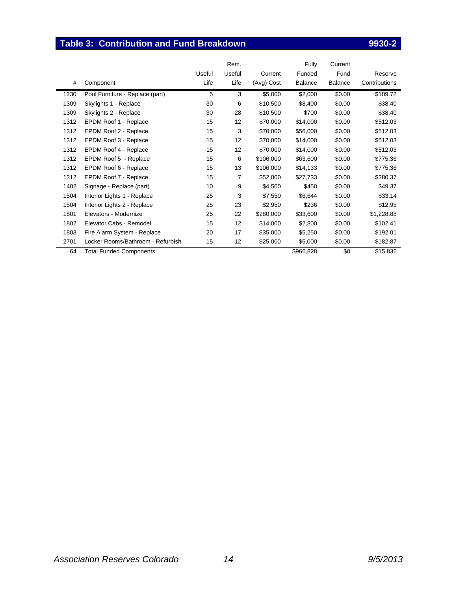#### **Table 3: Contribution and Fund Breakdown**

| 9930. |  |  |
|-------|--|--|
|       |  |  |
|       |  |  |
|       |  |  |

|      |                                   |        | Rem.   |            | Fully          | Current        |               |
|------|-----------------------------------|--------|--------|------------|----------------|----------------|---------------|
|      |                                   | Useful | Useful | Current    | Funded         | Fund           | Reserve       |
| #    | Component                         | Life   | Life   | (Avg) Cost | <b>Balance</b> | <b>Balance</b> | Contributions |
| 1230 | Pool Furniture - Replace (part)   | 5      | 3      | \$5,000    | \$2,000        | \$0.00         | \$109.72      |
| 1309 | Skylights 1 - Replace             | 30     | 6      | \$10,500   | \$8,400        | \$0.00         | \$38.40       |
| 1309 | Skylights 2 - Replace             | 30     | 28     | \$10,500   | \$700          | \$0.00         | \$38.40       |
| 1312 | EPDM Roof 1 - Replace             | 15     | 12     | \$70,000   | \$14,000       | \$0.00         | \$512.03      |
| 1312 | EPDM Roof 2 - Replace             | 15     | 3      | \$70,000   | \$56,000       | \$0.00         | \$512.03      |
| 1312 | EPDM Roof 3 - Replace             | 15     | 12     | \$70,000   | \$14,000       | \$0.00         | \$512.03      |
| 1312 | EPDM Roof 4 - Replace             | 15     | 12     | \$70,000   | \$14,000       | \$0.00         | \$512.03      |
| 1312 | EPDM Roof 5 - Replace             | 15     | 6      | \$106,000  | \$63,600       | \$0.00         | \$775.36      |
| 1312 | EPDM Roof 6 - Replace             | 15     | 13     | \$106,000  | \$14,133       | \$0.00         | \$775.36      |
| 1312 | EPDM Roof 7 - Replace             | 15     | 7      | \$52,000   | \$27,733       | \$0.00         | \$380.37      |
| 1402 | Signage - Replace (part)          | 10     | 9      | \$4,500    | \$450          | \$0.00         | \$49.37       |
| 1504 | Interior Lights 1 - Replace       | 25     | 3      | \$7,550    | \$6,644        | \$0.00         | \$33.14       |
| 1504 | Interior Lights 2 - Replace       | 25     | 23     | \$2,950    | \$236          | \$0.00         | \$12.95       |
| 1801 | Elevators - Modernize             | 25     | 22     | \$280,000  | \$33,600       | \$0.00         | \$1,228.88    |
| 1802 | Elevator Cabs - Remodel           | 15     | 12     | \$14,000   | \$2,800        | \$0.00         | \$102.41      |
| 1803 | Fire Alarm System - Replace       | 20     | 17     | \$35,000   | \$5,250        | \$0.00         | \$192.01      |
| 2701 | Locker Rooms/Bathroom - Refurbish | 15     | 12     | \$25,000   | \$5,000        | \$0.00         | \$182.87      |
| 64   | <b>Total Funded Components</b>    |        |        |            | \$966,828      | \$0            | \$15,836      |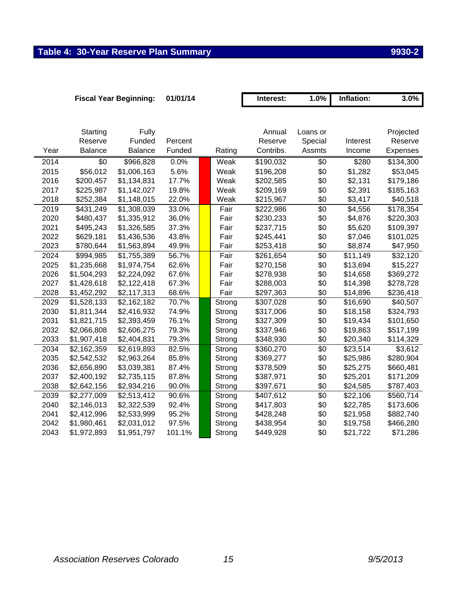#### **Table 4: 30-Year Reserve Plan Summary 8930-2**

|      |                | <b>Fiscal Year Beginning:</b> | 01/01/14 |        | Interest: | 1.0%         | Inflation: | 3.0%            |
|------|----------------|-------------------------------|----------|--------|-----------|--------------|------------|-----------------|
|      |                |                               |          |        |           |              |            |                 |
|      | Starting       | Fully                         |          |        | Annual    | Loans or     |            | Projected       |
|      | Reserve        | Funded                        | Percent  |        | Reserve   | Special      | Interest   | Reserve         |
| Year | <b>Balance</b> | <b>Balance</b>                | Funded   | Rating | Contribs. | Assmts       | Income     | <b>Expenses</b> |
| 2014 | \$0            | \$966,828                     | 0.0%     | Weak   | \$190,032 | \$0          | \$280      | \$134,300       |
| 2015 | \$56,012       | \$1,006,163                   | 5.6%     | Weak   | \$196,208 | \$0          | \$1,282    | \$53,045        |
| 2016 | \$200,457      | \$1,134,831                   | 17.7%    | Weak   | \$202,585 | \$0          | \$2,131    | \$179,186       |
| 2017 | \$225,987      | \$1,142,027                   | 19.8%    | Weak   | \$209,169 | \$0          | \$2,391    | \$185,163       |
| 2018 | \$252,384      | \$1,148,015                   | 22.0%    | Weak   | \$215,967 | \$0          | \$3,417    | \$40,518        |
| 2019 | \$431,249      | \$1,308,039                   | 33.0%    | Fair   | \$222,986 | $\sqrt[6]{}$ | \$4,556    | \$178,354       |
| 2020 | \$480,437      | \$1,335,912                   | 36.0%    | Fair   | \$230,233 | \$0          | \$4,876    | \$220,303       |
| 2021 | \$495,243      | \$1,326,585                   | 37.3%    | Fair   | \$237,715 | \$0          | \$5,620    | \$109,397       |
| 2022 | \$629,181      | \$1,436,536                   | 43.8%    | Fair   | \$245,441 | \$0          | \$7,046    | \$101,025       |
| 2023 | \$780,644      | \$1,563,894                   | 49.9%    | Fair   | \$253,418 | \$0          | \$8,874    | \$47,950        |
| 2024 | \$994,985      | \$1,755,389                   | 56.7%    | Fair   | \$261,654 | \$0          | \$11,149   | \$32,120        |
| 2025 | \$1,235,668    | \$1,974,754                   | 62.6%    | Fair   | \$270,158 | \$0          | \$13,694   | \$15,227        |
| 2026 | \$1,504,293    | \$2,224,092                   | 67.6%    | Fair   | \$278,938 | \$0          | \$14,658   | \$369,272       |
| 2027 | \$1,428,618    | \$2,122,418                   | 67.3%    | Fair   | \$288,003 | \$0          | \$14,398   | \$278,728       |
| 2028 | \$1,452,292    | \$2,117,313                   | 68.6%    | Fair   | \$297,363 | \$0          | \$14,896   | \$236,418       |
| 2029 | \$1,528,133    | \$2,162,182                   | 70.7%    | Strong | \$307,028 | \$0          | \$16,690   | \$40,507        |
| 2030 | \$1,811,344    | \$2,416,932                   | 74.9%    | Strong | \$317,006 | \$0          | \$18,158   | \$324,793       |
| 2031 | \$1,821,715    | \$2,393,459                   | 76.1%    | Strong | \$327,309 | \$0          | \$19,434   | \$101,650       |
| 2032 | \$2,066,808    | \$2,606,275                   | 79.3%    | Strong | \$337,946 | \$0          | \$19,863   | \$517,199       |
| 2033 | \$1,907,418    | \$2,404,831                   | 79.3%    | Strong | \$348,930 | \$0          | \$20,340   | \$114,329       |
| 2034 | \$2,162,359    | \$2,619,893                   | 82.5%    | Strong | \$360,270 | $\sqrt{6}$   | \$23,514   | \$3,612         |
| 2035 | \$2,542,532    | \$2,963,264                   | 85.8%    | Strong | \$369,277 | \$0          | \$25,986   | \$280,904       |
| 2036 | \$2,656,890    | \$3,039,381                   | 87.4%    | Strong | \$378,509 | \$0          | \$25,275   | \$660,481       |
| 2037 | \$2,400,192    | \$2,735,115                   | 87.8%    | Strong | \$387,971 | \$0          | \$25,201   | \$171,209       |
| 2038 | \$2,642,156    | \$2,934,216                   | 90.0%    | Strong | \$397,671 | \$0          | \$24,585   | \$787,403       |
| 2039 | \$2,277,009    | \$2,513,412                   | 90.6%    | Strong | \$407,612 | \$0          | \$22,106   | \$560,714       |
| 2040 | \$2,146,013    | \$2,322,539                   | 92.4%    | Strong | \$417,803 | \$0          | \$22,785   | \$173,606       |
| 2041 | \$2,412,996    | \$2,533,999                   | 95.2%    | Strong | \$428,248 | \$0          | \$21,958   | \$882,740       |
| 2042 | \$1,980,461    | \$2,031,012                   | 97.5%    | Strong | \$438,954 | \$0          | \$19,758   | \$466,280       |
| 2043 | \$1,972,893    | \$1,951,797                   | 101.1%   | Strong | \$449,928 | \$0          | \$21,722   | \$71,286        |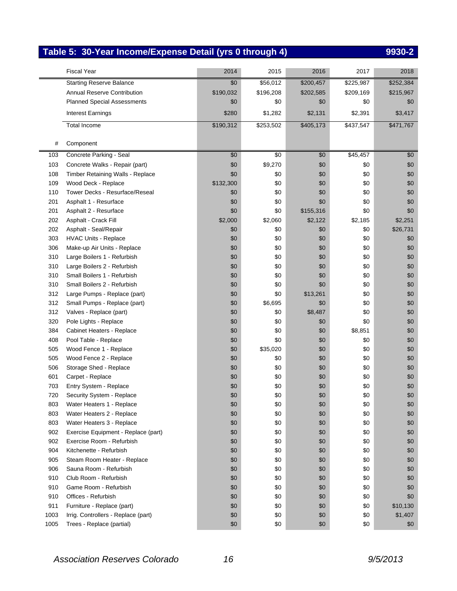| Table 5: 30-Year Income/Expense Detail (yrs 0 through 4) |  | 9930-2 |
|----------------------------------------------------------|--|--------|
|                                                          |  |        |

| 9930 |  |  |
|------|--|--|
|      |  |  |
|      |  |  |
|      |  |  |
|      |  |  |

|      | <b>Fiscal Year</b>                  | 2014      | 2015      | 2016      | 2017      | 2018      |
|------|-------------------------------------|-----------|-----------|-----------|-----------|-----------|
|      | <b>Starting Reserve Balance</b>     | \$0       | \$56,012  | \$200,457 | \$225,987 | \$252,384 |
|      | <b>Annual Reserve Contribution</b>  | \$190,032 | \$196,208 | \$202,585 | \$209,169 | \$215,967 |
|      | <b>Planned Special Assessments</b>  | \$0       | \$0       | \$0       | \$0       | \$0       |
|      | <b>Interest Earnings</b>            | \$280     | \$1,282   | \$2,131   | \$2,391   | \$3,417   |
|      | <b>Total Income</b>                 | \$190,312 | \$253,502 | \$405,173 | \$437,547 | \$471,767 |
|      |                                     |           |           |           |           |           |
| #    | Component                           |           |           |           |           |           |
| 103  | Concrete Parking - Seal             | \$0       | \$0       | \$0       | \$45,457  | \$0       |
| 103  | Concrete Walks - Repair (part)      | \$0       | \$9,270   | \$0       | \$0       | \$0       |
| 108  | Timber Retaining Walls - Replace    | \$0       | \$0       | \$0       | \$0       | \$0       |
| 109  | Wood Deck - Replace                 | \$132,300 | \$0       | \$0       | \$0       | \$0       |
| 110  | Tower Decks - Resurface/Reseal      | \$0       | \$0       | \$0       | \$0       | \$0       |
| 201  | Asphalt 1 - Resurface               | \$0       | \$0       | \$0       | \$0       | \$0       |
| 201  | Asphalt 2 - Resurface               | \$0       | \$0       | \$155,316 | \$0       | \$0       |
| 202  | Asphalt - Crack Fill                | \$2,000   | \$2,060   | \$2,122   | \$2,185   | \$2,251   |
| 202  | Asphalt - Seal/Repair               | \$0       | \$0       | \$0       | \$0       | \$26,731  |
| 303  | <b>HVAC Units - Replace</b>         | \$0       | \$0       | \$0       | \$0       | \$0       |
| 306  | Make-up Air Units - Replace         | \$0       | \$0       | \$0       | \$0       | \$0       |
| 310  | Large Boilers 1 - Refurbish         | \$0       | \$0       | \$0       | \$0       | \$0       |
| 310  | Large Boilers 2 - Refurbish         | \$0       | \$0       | \$0       | \$0       | \$0       |
| 310  | Small Boilers 1 - Refurbish         | \$0       | \$0       | \$0       | \$0       | \$0       |
| 310  | Small Boilers 2 - Refurbish         | \$0       | \$0       | \$0       | \$0       | \$0       |
| 312  | Large Pumps - Replace (part)        | \$0       | \$0       | \$13,261  | \$0       | \$0       |
| 312  | Small Pumps - Replace (part)        | \$0       | \$6,695   | \$0       | \$0       | \$0       |
| 312  | Valves - Replace (part)             | \$0       | \$0       | \$8,487   | \$0       | \$0       |
| 320  | Pole Lights - Replace               | \$0       | \$0       | \$0       | \$0       | \$0       |
| 384  | Cabinet Heaters - Replace           | \$0       | \$0       | \$0       | \$8,851   | \$0       |
| 408  | Pool Table - Replace                | \$0       | \$0       | \$0       | \$0       | \$0       |
| 505  | Wood Fence 1 - Replace              | \$0       | \$35,020  | \$0       | \$0       | \$0       |
| 505  | Wood Fence 2 - Replace              | \$0       | \$0       | \$0       | \$0       | \$0       |
| 506  | Storage Shed - Replace              | \$0       | \$0       | \$0       | \$0       | \$0       |
| 601  | Carpet - Replace                    | \$0       | \$0       | \$0       | \$0       | \$0       |
| 703  | Entry System - Replace              | \$0       | \$0       | \$0       | \$0       | \$0       |
| 720  | Security System - Replace           | \$0       | \$0       | \$0       | \$0       | \$0       |
| 803  | Water Heaters 1 - Replace           | \$0       | \$0       | \$0       | \$0       | \$0       |
| 803  | Water Heaters 2 - Replace           | \$0       | \$0       | \$0       | \$0       | \$0       |
| 803  | Water Heaters 3 - Replace           | \$0       | \$0       | \$0       | \$0       | \$0       |
| 902  | Exercise Equipment - Replace (part) | \$0       | \$0       | \$0       | \$0       | \$0       |
| 902  | Exercise Room - Refurbish           | \$0       | \$0       | \$0       | \$0       | \$0       |
| 904  | Kitchenette - Refurbish             | \$0       | \$0       | \$0       | \$0       | \$0       |
| 905  | Steam Room Heater - Replace         | \$0       | \$0       | \$0       | \$0       | \$0       |
| 906  | Sauna Room - Refurbish              | \$0       | \$0       | \$0       | \$0       | \$0       |
| 910  | Club Room - Refurbish               | \$0       | \$0       | \$0       | \$0       | \$0       |
| 910  | Game Room - Refurbish               | \$0       | \$0       | \$0       | \$0       | \$0       |
| 910  | Offices - Refurbish                 | \$0       | \$0       | \$0       | \$0       | \$0       |
| 911  | Furniture - Replace (part)          | \$0       | \$0       | \$0       | \$0       | \$10,130  |
| 1003 | Irrig. Controllers - Replace (part) | \$0       | \$0       | \$0       | \$0       | \$1,407   |
| 1005 | Trees - Replace (partial)           | \$0       | \$0       | \$0       | \$0       | \$0       |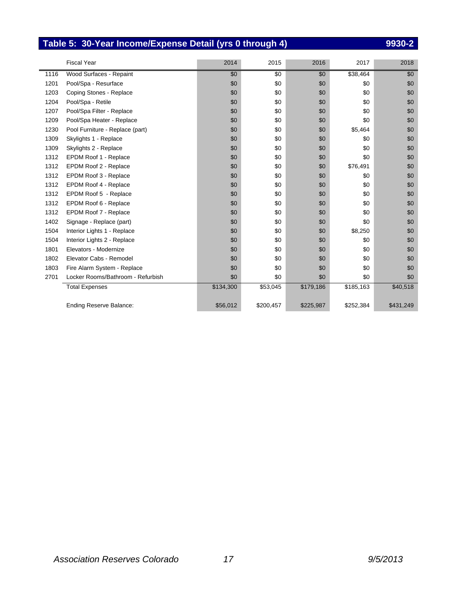### Table 5: 30-Year Income/Expense Detail (yrs 0 through 4) 9930-2

|      | <b>Fiscal Year</b>                | 2014      | 2015      | 2016      | 2017      | 2018      |
|------|-----------------------------------|-----------|-----------|-----------|-----------|-----------|
| 1116 | Wood Surfaces - Repaint           | \$0       | \$0       | \$0       | \$38,464  | \$0       |
| 1201 | Pool/Spa - Resurface              | \$0       | \$0       | \$0       | \$0       | \$0       |
| 1203 | Coping Stones - Replace           | \$0       | \$0       | \$0       | \$0       | \$0       |
| 1204 | Pool/Spa - Retile                 | \$0       | \$0       | \$0       | \$0       | \$0       |
| 1207 | Pool/Spa Filter - Replace         | \$0       | \$0       | \$0       | \$0       | \$0       |
| 1209 | Pool/Spa Heater - Replace         | \$0       | \$0       | \$0       | \$0       | \$0       |
| 1230 | Pool Furniture - Replace (part)   | \$0       | \$0       | \$0       | \$5,464   | \$0       |
| 1309 | Skylights 1 - Replace             | \$0       | \$0       | \$0       | \$0       | \$0       |
| 1309 | Skylights 2 - Replace             | \$0       | \$0       | \$0       | \$0       | \$0       |
| 1312 | EPDM Roof 1 - Replace             | \$0       | \$0       | \$0       | \$0       | \$0       |
| 1312 | EPDM Roof 2 - Replace             | \$0       | \$0       | \$0       | \$76,491  | \$0       |
| 1312 | EPDM Roof 3 - Replace             | \$0       | \$0       | \$0       | \$0       | \$0       |
| 1312 | EPDM Roof 4 - Replace             | \$0       | \$0       | \$0       | \$0       | \$0       |
| 1312 | EPDM Roof 5 - Replace             | \$0       | \$0       | \$0       | \$0       | \$0       |
| 1312 | EPDM Roof 6 - Replace             | \$0       | \$0       | \$0       | \$0       | \$0       |
| 1312 | EPDM Roof 7 - Replace             | \$0       | \$0       | \$0       | \$0       | \$0       |
| 1402 | Signage - Replace (part)          | \$0       | \$0       | \$0       | \$0       | \$0       |
| 1504 | Interior Lights 1 - Replace       | \$0       | \$0       | \$0       | \$8,250   | \$0       |
| 1504 | Interior Lights 2 - Replace       | \$0       | \$0       | \$0       | \$0       | \$0       |
| 1801 | Elevators - Modernize             | \$0       | \$0       | \$0       | \$0       | \$0       |
| 1802 | Elevator Cabs - Remodel           | \$0       | \$0       | \$0       | \$0       | \$0       |
| 1803 | Fire Alarm System - Replace       | \$0       | \$0       | \$0       | \$0       | \$0       |
| 2701 | Locker Rooms/Bathroom - Refurbish | \$0       | \$0       | \$0       | \$0       | \$0       |
|      | <b>Total Expenses</b>             | \$134,300 | \$53,045  | \$179,186 | \$185,163 | \$40,518  |
|      |                                   |           |           |           |           |           |
|      | <b>Ending Reserve Balance:</b>    | \$56,012  | \$200,457 | \$225,987 | \$252,384 | \$431,249 |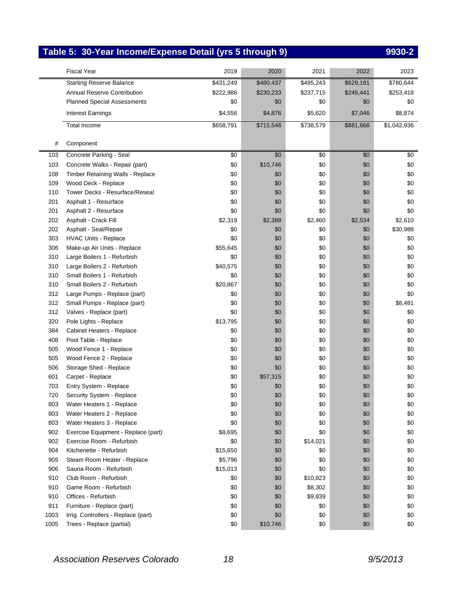|      | Table 5: 30-Year Income/Expense Detail (yrs 5 through 9) |           |           |           |           | 9930-2      |
|------|----------------------------------------------------------|-----------|-----------|-----------|-----------|-------------|
|      | <b>Fiscal Year</b>                                       | 2019      | 2020      | 2021      | 2022      | 2023        |
|      | <b>Starting Reserve Balance</b>                          | \$431,249 | \$480,437 | \$495,243 | \$629,181 | \$780,644   |
|      | <b>Annual Reserve Contribution</b>                       | \$222,986 | \$230,233 | \$237,715 | \$245,441 | \$253,418   |
|      | <b>Planned Special Assessments</b>                       | \$0       | \$0       | \$0       | \$0       | \$0         |
|      | <b>Interest Earnings</b>                                 | \$4,556   | \$4,876   | \$5,620   | \$7,046   | \$8,874     |
|      | <b>Total Income</b>                                      | \$658,791 | \$715,546 | \$738,579 | \$881,668 | \$1,042,936 |
|      |                                                          |           |           |           |           |             |
| #    | Component                                                |           |           |           |           |             |
| 103  | Concrete Parking - Seal                                  | \$0       | \$0       | \$0       | \$0       | \$0         |
| 103  | Concrete Walks - Repair (part)                           | \$0       | \$10,746  | \$0       | \$0       | \$0         |
| 108  | Timber Retaining Walls - Replace                         | \$0       | \$0       | \$0       | \$0       | \$0         |
| 109  | Wood Deck - Replace                                      | \$0       | \$0       | \$0       | \$0       | \$0         |
| 110  | <b>Tower Decks - Resurface/Reseal</b>                    | \$0       | \$0       | \$0       | \$0       | \$0         |
| 201  | Asphalt 1 - Resurface                                    | \$0       | \$0       | \$0       | \$0       | \$0         |
| 201  | Asphalt 2 - Resurface                                    | \$0       | \$0       | \$0       | \$0       | \$0         |
| 202  | Asphalt - Crack Fill                                     | \$2,319   | \$2,388   | \$2,460   | \$2,534   | \$2,610     |
| 202  | Asphalt - Seal/Repair                                    | \$0       | \$0       | \$0       | \$0       | \$30,988    |
| 303  | <b>HVAC Units - Replace</b>                              | \$0       | \$0       | \$0       | \$0       | \$0         |
| 306  | Make-up Air Units - Replace                              | \$55,645  | \$0       | \$0       | \$0       | \$0         |
| 310  | Large Boilers 1 - Refurbish                              | \$0       | \$0       | \$0       | \$0       | \$0         |
| 310  | Large Boilers 2 - Refurbish                              | \$40,575  | \$0       | \$0       | \$0       | \$0         |
| 310  | Small Boilers 1 - Refurbish                              | \$0       | \$0       | \$0       | \$0       | \$0         |
| 310  | Small Boilers 2 - Refurbish                              | \$20,867  | \$0       | \$0       | \$0       | \$0         |
| 312  | Large Pumps - Replace (part)                             | \$0       | \$0       | \$0       | \$0       | \$0         |
| 312  | Small Pumps - Replace (part)                             | \$0       | \$0       | \$0       | \$0       | \$8,481     |
| 312  | Valves - Replace (part)                                  | \$0       | \$0       | \$0       | \$0       | \$0         |
| 320  | Pole Lights - Replace                                    | \$13,795  | \$0       | \$0       | \$0       | \$0         |
| 384  | Cabinet Heaters - Replace                                | \$0       | \$0       | \$0       | \$0       | \$0         |
| 408  | Pool Table - Replace                                     | \$0       | \$0       | \$0       | \$0       | \$0         |
| 505  |                                                          | \$0       | \$0       | \$0       | \$0       | \$0         |
|      | Wood Fence 1 - Replace                                   |           |           |           |           |             |
| 505  | Wood Fence 2 - Replace                                   | \$0       | \$0       | \$0       | \$0       | \$0         |
| 506  | Storage Shed - Replace                                   | \$0       | \$0       | \$0       | \$0       | \$0         |
| 601  | Carpet - Replace                                         | \$0       | \$57,315  | \$0       | \$0       | \$0         |
| 703  | Entry System - Replace                                   | \$0       | \$0       | \$0       | \$0       | \$0         |
| 720  | Security System - Replace                                | \$0       | \$0       | \$0       | \$0       | \$0         |
| 803  | Water Heaters 1 - Replace                                | \$0       | \$0       | \$0       | \$0       | \$0         |
| 803  | Water Heaters 2 - Replace                                | \$0       | \$0       | \$0       | \$0       | \$0         |
| 803  | Water Heaters 3 - Replace                                | \$0       | \$0       | \$0       | \$0       | \$0         |
| 902  | Exercise Equipment - Replace (part)                      | \$8,695   | \$0       | \$0       | \$0       | \$0         |
| 902  | Exercise Room - Refurbish                                | \$0       | \$0       | \$14,021  | \$0       | \$0         |
| 904  | Kitchenette - Refurbish                                  | \$15,650  | \$0       | \$0       | \$0       | \$0         |
| 905  | Steam Room Heater - Replace                              | \$5,796   | \$0       | \$0       | \$0       | \$0         |
| 906  | Sauna Room - Refurbish                                   | \$15,013  | \$0       | \$0       | \$0       | \$0         |
| 910  | Club Room - Refurbish                                    | \$0       | \$0       | \$10,823  | \$0       | \$0         |
| 910  | Game Room - Refurbish                                    | \$0       | \$0       | \$8,302   | \$0       | \$0         |
| 910  | Offices - Refurbish                                      | \$0       | \$0       | \$9,839   | \$0       | \$0         |
| 911  | Furniture - Replace (part)                               | \$0       | \$0       | \$0       | \$0       | \$0         |
| 1003 | Irrig. Controllers - Replace (part)                      | \$0       | \$0       | \$0       | \$0       | \$0         |
| 1005 | Trees - Replace (partial)                                | \$0       | \$10,746  | \$0       | \$0       | \$0         |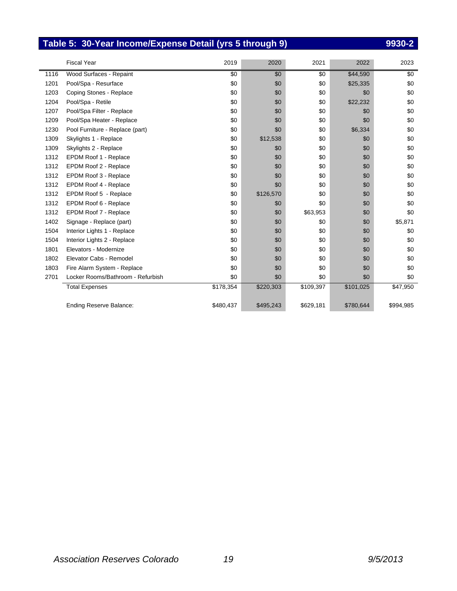| Table 5:  30-Year Income/Expense Detail (yrs 5 through 9) |  | 9930-2 |
|-----------------------------------------------------------|--|--------|
|                                                           |  |        |

|      | <b>Fiscal Year</b>                | 2019      | 2020      | 2021      | 2022      | 2023      |
|------|-----------------------------------|-----------|-----------|-----------|-----------|-----------|
| 1116 | Wood Surfaces - Repaint           | \$0       | \$0       | \$0       | \$44,590  | \$0       |
| 1201 | Pool/Spa - Resurface              | \$0       | \$0       | \$0       | \$25,335  | \$0       |
| 1203 | Coping Stones - Replace           | \$0       | \$0       | \$0       | \$0       | \$0       |
| 1204 | Pool/Spa - Retile                 | \$0       | \$0       | \$0       | \$22,232  | \$0       |
| 1207 | Pool/Spa Filter - Replace         | \$0       | \$0       | \$0       | \$0       | \$0       |
| 1209 | Pool/Spa Heater - Replace         | \$0       | \$0       | \$0       | \$0       | \$0       |
| 1230 | Pool Furniture - Replace (part)   | \$0       | \$0       | \$0       | \$6,334   | \$0       |
| 1309 | Skylights 1 - Replace             | \$0       | \$12,538  | \$0       | \$0       | \$0       |
| 1309 | Skylights 2 - Replace             | \$0       | \$0       | \$0       | \$0       | \$0       |
| 1312 | EPDM Roof 1 - Replace             | \$0       | \$0       | \$0       | \$0       | \$0       |
| 1312 | EPDM Roof 2 - Replace             | \$0       | \$0       | \$0       | \$0       | \$0       |
| 1312 | EPDM Roof 3 - Replace             | \$0       | \$0       | \$0       | \$0       | \$0       |
| 1312 | EPDM Roof 4 - Replace             | \$0       | \$0       | \$0       | \$0       | \$0       |
| 1312 | EPDM Roof 5 - Replace             | \$0       | \$126,570 | \$0       | \$0       | \$0       |
| 1312 | EPDM Roof 6 - Replace             | \$0       | \$0       | \$0       | \$0       | \$0       |
| 1312 | EPDM Roof 7 - Replace             | \$0       | \$0       | \$63,953  | \$0       | \$0       |
| 1402 | Signage - Replace (part)          | \$0       | \$0       | \$0       | \$0       | \$5,871   |
| 1504 | Interior Lights 1 - Replace       | \$0       | \$0       | \$0       | \$0       | \$0       |
| 1504 | Interior Lights 2 - Replace       | \$0       | \$0       | \$0       | \$0       | \$0       |
| 1801 | Elevators - Modernize             | \$0       | \$0       | \$0       | \$0       | \$0       |
| 1802 | Elevator Cabs - Remodel           | \$0       | \$0       | \$0       | \$0       | \$0       |
| 1803 | Fire Alarm System - Replace       | \$0       | \$0       | \$0       | \$0       | \$0       |
| 2701 | Locker Rooms/Bathroom - Refurbish | \$0       | \$0       | \$0       | \$0       | \$0       |
|      | <b>Total Expenses</b>             | \$178,354 | \$220,303 | \$109,397 | \$101,025 | \$47,950  |
|      | Ending Reserve Balance:           | \$480,437 | \$495,243 | \$629,181 | \$780,644 | \$994,985 |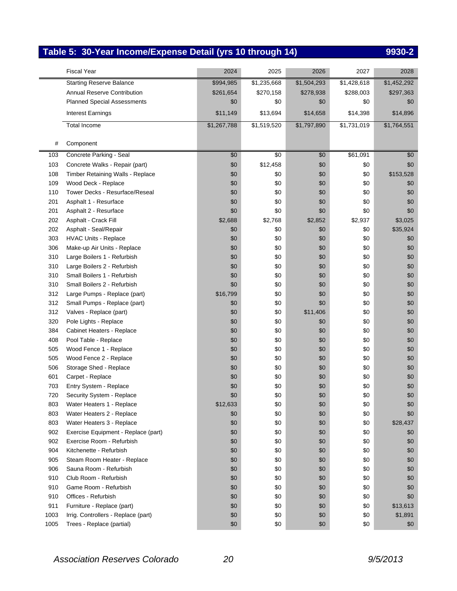### Table 5: 30-Year Income/Expense Detail (yrs 10 through 14) 9930-2

|      | <b>Fiscal Year</b>                      | 2024        | 2025        | 2026        | 2027        | 2028        |
|------|-----------------------------------------|-------------|-------------|-------------|-------------|-------------|
|      | <b>Starting Reserve Balance</b>         | \$994,985   | \$1,235,668 | \$1,504,293 | \$1,428,618 | \$1,452,292 |
|      | <b>Annual Reserve Contribution</b>      | \$261,654   | \$270,158   | \$278,938   | \$288,003   | \$297,363   |
|      | <b>Planned Special Assessments</b>      | \$0         | \$0         | \$0         | \$0         | \$0         |
|      | <b>Interest Earnings</b>                | \$11,149    | \$13,694    | \$14,658    | \$14,398    | \$14,896    |
|      | <b>Total Income</b>                     | \$1,267,788 | \$1,519,520 | \$1,797,890 | \$1,731,019 | \$1,764,551 |
|      |                                         |             |             |             |             |             |
| #    | Component                               |             |             |             |             |             |
| 103  | Concrete Parking - Seal                 | \$0         | \$0         | \$0         | \$61,091    | \$0         |
| 103  | Concrete Walks - Repair (part)          | \$0         | \$12,458    | \$0         | \$0         | \$0         |
| 108  | <b>Timber Retaining Walls - Replace</b> | \$0         | \$0         | \$0         | \$0         | \$153,528   |
| 109  | Wood Deck - Replace                     | \$0         | \$0         | \$0         | \$0         | \$0         |
| 110  | Tower Decks - Resurface/Reseal          | \$0         | \$0         | \$0         | \$0         | \$0         |
| 201  | Asphalt 1 - Resurface                   | \$0         | \$0         | \$0         | \$0         | \$0         |
| 201  | Asphalt 2 - Resurface                   | \$0         | \$0         | \$0         | \$0         | \$0         |
| 202  | Asphalt - Crack Fill                    | \$2,688     | \$2,768     | \$2,852     | \$2,937     | \$3,025     |
| 202  | Asphalt - Seal/Repair                   | \$0         | \$0         | \$0         | \$0         | \$35,924    |
| 303  | <b>HVAC Units - Replace</b>             | \$0         | \$0         | \$0         | \$0         | \$0         |
| 306  | Make-up Air Units - Replace             | \$0         | \$0         | \$0         | \$0         | \$0         |
| 310  | Large Boilers 1 - Refurbish             | \$0         | \$0         | \$0         | \$0         | \$0         |
| 310  | Large Boilers 2 - Refurbish             | \$0         | \$0         | \$0         | \$0         | \$0         |
| 310  | Small Boilers 1 - Refurbish             | \$0         | \$0         | \$0         | \$0         | \$0         |
| 310  | Small Boilers 2 - Refurbish             | \$0         | \$0         | \$0         | \$0         | \$0         |
| 312  | Large Pumps - Replace (part)            | \$16,799    | \$0         | \$0         | \$0         | \$0         |
| 312  | Small Pumps - Replace (part)            | \$0         | \$0         | \$0         | \$0         | \$0         |
| 312  | Valves - Replace (part)                 | \$0         | \$0         | \$11,406    | \$0         | \$0         |
| 320  | Pole Lights - Replace                   | \$0         | \$0         | \$0         | \$0         | \$0         |
| 384  | Cabinet Heaters - Replace               | \$0         | \$0         | \$0         | \$0         | \$0         |
| 408  | Pool Table - Replace                    | \$0         | \$0         | \$0         | \$0         | \$0         |
| 505  | Wood Fence 1 - Replace                  | \$0         | \$0         | \$0         | \$0         | \$0         |
| 505  | Wood Fence 2 - Replace                  | \$0         | \$0         | \$0         | \$0         | \$0         |
| 506  | Storage Shed - Replace                  | \$0         | \$0         | \$0         | \$0         | \$0         |
| 601  | Carpet - Replace                        | \$0         | \$0         | \$0         | \$0         | \$0         |
| 703  | Entry System - Replace                  | \$0         | \$0         | \$0         | \$0         | \$0         |
| 720  | Security System - Replace               | \$0         | \$0         | \$0         | \$0         | \$0         |
| 803  | Water Heaters 1 - Replace               | \$12,633    | \$0         | \$0         | \$0         | \$0         |
| 803  | Water Heaters 2 - Replace               | \$0         | \$0         | \$0         | \$0         | \$0         |
| 803  | Water Heaters 3 - Replace               | \$0         | \$0         | \$0         | \$0         | \$28,437    |
| 902  | Exercise Equipment - Replace (part)     | \$0         | \$0         | \$0         | \$0         | \$0         |
| 902  | Exercise Room - Refurbish               | \$0         | \$0         | \$0         | \$0         | \$0         |
| 904  | Kitchenette - Refurbish                 | \$0         | \$0         | \$0         | \$0         | \$0         |
| 905  | Steam Room Heater - Replace             | \$0         | \$0         | \$0         | \$0         | \$0         |
| 906  | Sauna Room - Refurbish                  | \$0         | \$0         | \$0         | \$0         | \$0         |
| 910  | Club Room - Refurbish                   | \$0         | \$0         | \$0         | \$0         | \$0         |
| 910  | Game Room - Refurbish                   | \$0         | \$0         | \$0         | \$0         | \$0         |
| 910  | Offices - Refurbish                     | \$0         | \$0         | \$0         | \$0         | \$0         |
| 911  | Furniture - Replace (part)              | \$0         | \$0         | \$0         | \$0         | \$13,613    |
| 1003 | Irrig. Controllers - Replace (part)     | \$0         | \$0         | \$0         | \$0         | \$1,891     |
|      |                                         |             |             |             |             |             |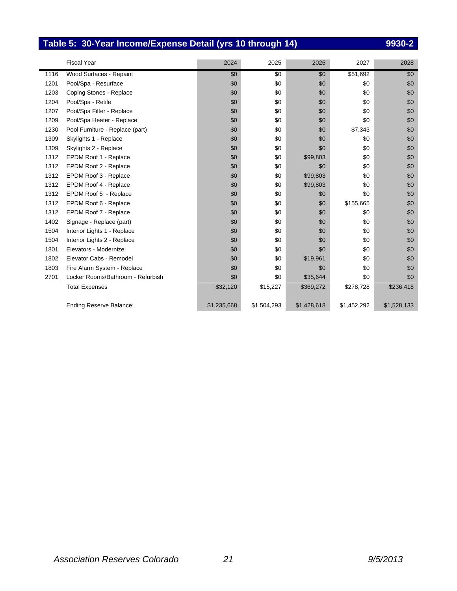### **Table 5: 30-Year Income/Expense Detail (yrs 10 through 14) 9930-2**

|      | <b>Fiscal Year</b>                | 2024        | 2025        | 2026        | 2027        | 2028        |
|------|-----------------------------------|-------------|-------------|-------------|-------------|-------------|
| 1116 | Wood Surfaces - Repaint           | \$0         | \$0         | \$0         | \$51,692    | \$0         |
| 1201 | Pool/Spa - Resurface              | \$0         | \$0         | \$0         | \$0         | \$0         |
| 1203 | Coping Stones - Replace           | \$0         | \$0         | \$0         | \$0         | \$0         |
| 1204 | Pool/Spa - Retile                 | \$0         | \$0         | \$0         | \$0         | \$0         |
| 1207 | Pool/Spa Filter - Replace         | \$0         | \$0         | \$0         | \$0         | \$0         |
| 1209 | Pool/Spa Heater - Replace         | \$0         | \$0         | \$0         | \$0         | \$0         |
| 1230 | Pool Furniture - Replace (part)   | \$0         | \$0         | \$0         | \$7,343     | \$0         |
| 1309 | Skylights 1 - Replace             | \$0         | \$0         | \$0         | \$0         | \$0         |
| 1309 | Skylights 2 - Replace             | \$0         | \$0         | \$0         | \$0         | \$0         |
| 1312 | EPDM Roof 1 - Replace             | \$0         | \$0         | \$99,803    | \$0         | \$0         |
| 1312 | EPDM Roof 2 - Replace             | \$0         | \$0         | \$0         | \$0         | \$0         |
| 1312 | EPDM Roof 3 - Replace             | \$0         | \$0         | \$99,803    | \$0         | \$0         |
| 1312 | EPDM Roof 4 - Replace             | \$0         | \$0         | \$99,803    | \$0         | \$0         |
| 1312 | EPDM Roof 5 - Replace             | \$0         | \$0         | \$0         | \$0         | \$0         |
| 1312 | EPDM Roof 6 - Replace             | \$0         | \$0         | \$0         | \$155,665   | \$0         |
| 1312 | EPDM Roof 7 - Replace             | \$0         | \$0         | \$0         | \$0         | \$0         |
| 1402 | Signage - Replace (part)          | \$0         | \$0         | \$0         | \$0         | \$0         |
| 1504 | Interior Lights 1 - Replace       | \$0         | \$0         | \$0         | \$0         | \$0         |
| 1504 | Interior Lights 2 - Replace       | \$0         | \$0         | \$0         | \$0         | \$0         |
| 1801 | Elevators - Modernize             | \$0         | \$0         | \$0         | \$0         | \$0         |
| 1802 | Elevator Cabs - Remodel           | \$0         | \$0         | \$19,961    | \$0         | \$0         |
| 1803 | Fire Alarm System - Replace       | \$0         | \$0         | \$0         | \$0         | \$0         |
| 2701 | Locker Rooms/Bathroom - Refurbish | \$0         | \$0         | \$35,644    | \$0         | \$0         |
|      | <b>Total Expenses</b>             | \$32,120    | \$15,227    | \$369,272   | \$278,728   | \$236,418   |
|      |                                   |             |             |             |             |             |
|      | <b>Ending Reserve Balance:</b>    | \$1,235,668 | \$1,504,293 | \$1,428,618 | \$1,452,292 | \$1,528,133 |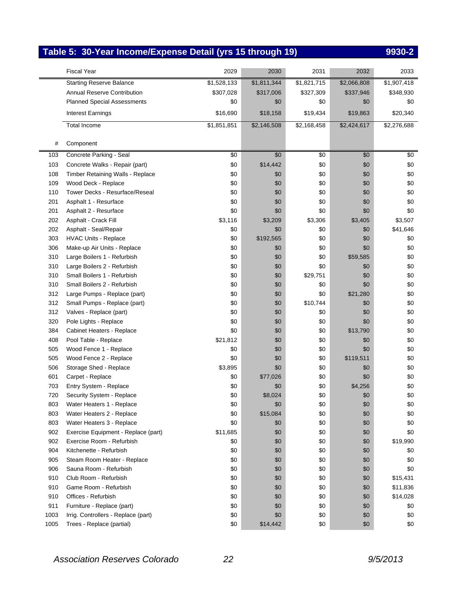|      | Table 5: 30-Year Income/Expense Detail (yrs 15 through 19) |             |             |             |             | 9930-2      |
|------|------------------------------------------------------------|-------------|-------------|-------------|-------------|-------------|
|      | <b>Fiscal Year</b>                                         | 2029        | 2030        | 2031        | 2032        | 2033        |
|      |                                                            |             |             |             |             |             |
|      | <b>Starting Reserve Balance</b>                            | \$1,528,133 | \$1,811,344 | \$1,821,715 | \$2,066,808 | \$1,907,418 |
|      | <b>Annual Reserve Contribution</b>                         | \$307,028   | \$317,006   | \$327,309   | \$337,946   | \$348,930   |
|      | <b>Planned Special Assessments</b>                         | \$0         | \$0         | \$0         | \$0         | \$0         |
|      | <b>Interest Earnings</b>                                   | \$16,690    | \$18,158    | \$19,434    | \$19,863    | \$20,340    |
|      | <b>Total Income</b>                                        | \$1,851,851 | \$2,146,508 | \$2,168,458 | \$2,424,617 | \$2,276,688 |
| #    | Component                                                  |             |             |             |             |             |
| 103  | Concrete Parking - Seal                                    | \$0         | \$0         | \$0         | \$0         | \$0         |
| 103  | Concrete Walks - Repair (part)                             | \$0         | \$14,442    | \$0         | \$0         | \$0         |
| 108  | Timber Retaining Walls - Replace                           | \$0         | \$0         | \$0         | \$0         | \$0         |
| 109  | Wood Deck - Replace                                        | \$0         | \$0         | \$0         | \$0         | \$0         |
| 110  | Tower Decks - Resurface/Reseal                             | \$0         | \$0         | \$0         | \$0         | \$0         |
| 201  | Asphalt 1 - Resurface                                      | \$0         | \$0         | \$0         | \$0         | \$0         |
| 201  | Asphalt 2 - Resurface                                      | \$0         | \$0         | \$0         | \$0         | \$0         |
| 202  | Asphalt - Crack Fill                                       | \$3,116     | \$3,209     | \$3,306     | \$3,405     | \$3,507     |
| 202  | Asphalt - Seal/Repair                                      | \$0         | \$0         | \$0         | \$0         | \$41,646    |
| 303  | <b>HVAC Units - Replace</b>                                | \$0         | \$192,565   | \$0         | \$0         | \$0         |
| 306  | Make-up Air Units - Replace                                | \$0         | \$0         | \$0         | \$0         | \$0         |
| 310  | Large Boilers 1 - Refurbish                                | \$0         | \$0         | \$0         | \$59,585    | \$0         |
| 310  | Large Boilers 2 - Refurbish                                | \$0         | \$0         | \$0         | \$0         | \$0         |
| 310  | Small Boilers 1 - Refurbish                                | \$0         | \$0         | \$29,751    | \$0         | \$0         |
| 310  | Small Boilers 2 - Refurbish                                | \$0         | \$0         | \$0         | \$0         | \$0         |
| 312  | Large Pumps - Replace (part)                               | \$0         | \$0         | \$0         | \$21,280    | \$0         |
| 312  | Small Pumps - Replace (part)                               | \$0         | \$0         | \$10,744    | \$0         | \$0         |
| 312  | Valves - Replace (part)                                    | \$0         | \$0         | \$0         | \$0         | \$0         |
| 320  | Pole Lights - Replace                                      | \$0         | \$0         | \$0         | \$0         | \$0         |
| 384  | Cabinet Heaters - Replace                                  | \$0         | \$0         | \$0         | \$13,790    | \$0         |
| 408  | Pool Table - Replace                                       | \$21,812    | \$0         | \$0         | \$0         | \$0         |
| 505  | Wood Fence 1 - Replace                                     | \$0         | \$0         | \$0         | \$0         | \$0         |
| 505  | Wood Fence 2 - Replace                                     | \$0         | \$0         | \$0         | \$119,511   | \$0         |
| 506  | Storage Shed - Replace                                     | \$3,895     | \$0         | \$0         | \$0         | \$0         |
| 601  | Carpet - Replace                                           | \$0         | \$77,026    | \$0         | \$0         | \$0         |
| 703  | Entry System - Replace                                     | \$0         | \$0         | \$0         | \$4,256     | \$0         |
| 720  | Security System - Replace                                  | \$0         | \$8,024     | \$0         | \$0         | \$0         |
| 803  | Water Heaters 1 - Replace                                  | \$0         | \$0         | \$0         | \$0         | \$0         |
| 803  | Water Heaters 2 - Replace                                  | \$0         | \$15,084    | \$0         | \$0         | \$0         |
| 803  | Water Heaters 3 - Replace                                  | \$0         | \$0         | \$0         | \$0         | \$0         |
| 902  | Exercise Equipment - Replace (part)                        | \$11,685    | \$0         | \$0         | \$0         | \$0         |
| 902  | Exercise Room - Refurbish                                  | \$0         | \$0         | \$0         | \$0         | \$19,990    |
| 904  | Kitchenette - Refurbish                                    | \$0         | \$0         | \$0         | \$0         | \$0         |
| 905  | Steam Room Heater - Replace                                | \$0         | \$0         | \$0         | \$0         | \$0         |
| 906  | Sauna Room - Refurbish                                     | \$0         | \$0         | \$0         | \$0         | \$0         |
| 910  | Club Room - Refurbish                                      | \$0         | \$0         | \$0         | \$0         | \$15,431    |
| 910  | Game Room - Refurbish                                      | \$0         | \$0         | \$0         | \$0         | \$11,836    |
| 910  | Offices - Refurbish                                        | \$0         | \$0         | \$0         | \$0         | \$14,028    |
| 911  | Furniture - Replace (part)                                 | \$0         | \$0         | \$0         | \$0         | \$0         |
| 1003 | Irrig. Controllers - Replace (part)                        | \$0         | \$0         | \$0         | \$0         | \$0         |
| 1005 | Trees - Replace (partial)                                  | \$0         | \$14,442    | \$0         | \$0         | \$0         |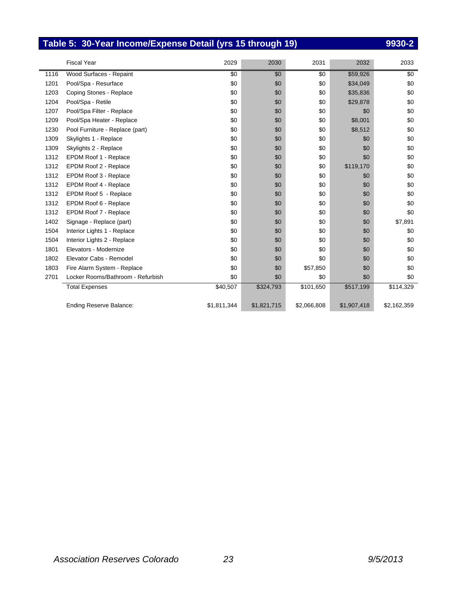|      | Table 5: 30-Year Income/Expense Detail (yrs 15 through 19) |             |             |             |             | 9930-2      |
|------|------------------------------------------------------------|-------------|-------------|-------------|-------------|-------------|
|      | <b>Fiscal Year</b>                                         | 2029        | 2030        | 2031        | 2032        | 2033        |
| 1116 | Wood Surfaces - Repaint                                    | \$0         | \$0         | \$0         | \$59,926    | \$0         |
| 1201 | Pool/Spa - Resurface                                       | \$0         | \$0         | \$0         | \$34,049    | \$0         |
| 1203 | Coping Stones - Replace                                    | \$0         | \$0         | \$0         | \$35,836    | \$0         |
| 1204 | Pool/Spa - Retile                                          | \$0         | \$0         | \$0         | \$29,878    | \$0         |
| 1207 | Pool/Spa Filter - Replace                                  | \$0         | \$0         | \$0         | \$0         | \$0         |
| 1209 | Pool/Spa Heater - Replace                                  | \$0         | \$0         | \$0         | \$8,001     | \$0         |
| 1230 | Pool Furniture - Replace (part)                            | \$0         | \$0         | \$0         | \$8,512     | \$0         |
| 1309 | Skylights 1 - Replace                                      | \$0         | \$0         | \$0         | \$0         | \$0         |
| 1309 | Skylights 2 - Replace                                      | \$0         | \$0         | \$0         | \$0         | \$0         |
| 1312 | EPDM Roof 1 - Replace                                      | \$0         | \$0         | \$0         | \$0         | \$0         |
| 1312 | EPDM Roof 2 - Replace                                      | \$0         | \$0         | \$0         | \$119,170   | \$0         |
| 1312 | EPDM Roof 3 - Replace                                      | \$0         | \$0         | \$0         | \$0         | \$0         |
| 1312 | EPDM Roof 4 - Replace                                      | \$0         | \$0         | \$0         | \$0         | \$0         |
| 1312 | EPDM Roof 5 - Replace                                      | \$0         | \$0         | \$0         | \$0         | \$0         |
| 1312 | EPDM Roof 6 - Replace                                      | \$0         | \$0         | \$0         | \$0         | \$0         |
| 1312 | EPDM Roof 7 - Replace                                      | \$0         | \$0         | \$0         | \$0         | \$0         |
| 1402 | Signage - Replace (part)                                   | \$0         | \$0         | \$0         | \$0         | \$7,891     |
| 1504 | Interior Lights 1 - Replace                                | \$0         | \$0         | \$0         | \$0         | \$0         |
| 1504 | Interior Lights 2 - Replace                                | \$0         | \$0         | \$0         | \$0         | \$0         |
| 1801 | Elevators - Modernize                                      | \$0         | \$0         | \$0         | \$0         | \$0         |
| 1802 | Elevator Cabs - Remodel                                    | \$0         | \$0         | \$0         | \$0         | \$0         |
| 1803 | Fire Alarm System - Replace                                | \$0         | \$0         | \$57,850    | \$0         | \$0         |
| 2701 | Locker Rooms/Bathroom - Refurbish                          | \$0         | \$0         | \$0         | \$0         | \$0         |
|      | <b>Total Expenses</b>                                      | \$40,507    | \$324,793   | \$101,650   | \$517,199   | \$114,329   |
|      | <b>Ending Reserve Balance:</b>                             | \$1,811,344 | \$1,821,715 | \$2,066,808 | \$1,907,418 | \$2,162,359 |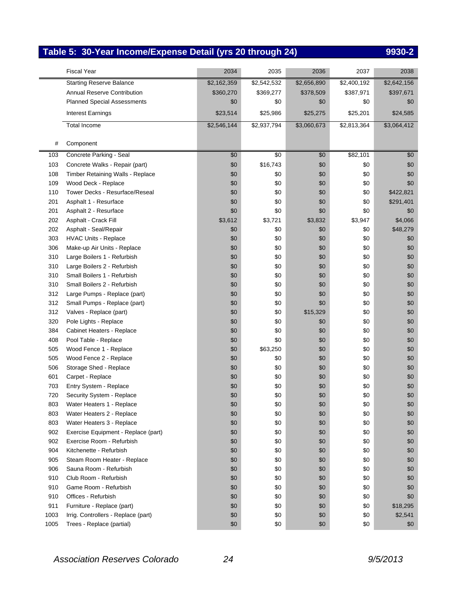### Table 5: 30-Year Income/Expense Detail (yrs 20 through 24) 9930-2

|      | <b>Fiscal Year</b>                  | 2034        | 2035        | 2036        | 2037        | 2038        |
|------|-------------------------------------|-------------|-------------|-------------|-------------|-------------|
|      | <b>Starting Reserve Balance</b>     | \$2,162,359 | \$2,542,532 | \$2,656,890 | \$2,400,192 | \$2,642,156 |
|      | <b>Annual Reserve Contribution</b>  | \$360,270   | \$369,277   | \$378,509   | \$387,971   | \$397,671   |
|      | <b>Planned Special Assessments</b>  | \$0         | \$0         | \$0         | \$0         | \$0         |
|      | <b>Interest Earnings</b>            | \$23,514    | \$25,986    | \$25,275    | \$25,201    | \$24,585    |
|      | <b>Total Income</b>                 | \$2,546,144 | \$2,937,794 | \$3,060,673 | \$2,813,364 | \$3,064,412 |
|      |                                     |             |             |             |             |             |
| #    | Component                           |             |             |             |             |             |
| 103  | Concrete Parking - Seal             | \$0         | \$0         | \$0         | \$82,101    | \$0         |
| 103  | Concrete Walks - Repair (part)      | \$0         | \$16,743    | \$0         | \$0         | \$0         |
| 108  | Timber Retaining Walls - Replace    | \$0         | \$0         | \$0         | \$0         | \$0         |
| 109  | Wood Deck - Replace                 | \$0         | \$0         | \$0         | \$0         | \$0         |
| 110  | Tower Decks - Resurface/Reseal      | \$0         | \$0         | \$0         | \$0         | \$422,821   |
| 201  | Asphalt 1 - Resurface               | \$0         | \$0         | \$0         | \$0         | \$291,401   |
| 201  | Asphalt 2 - Resurface               | \$0         | \$0         | \$0         | \$0         | \$0         |
| 202  | Asphalt - Crack Fill                | \$3,612     | \$3,721     | \$3,832     | \$3,947     | \$4,066     |
| 202  | Asphalt - Seal/Repair               | \$0         | \$0         | \$0         | \$0         | \$48,279    |
| 303  | <b>HVAC Units - Replace</b>         | \$0         | \$0         | \$0         | \$0         | \$0         |
| 306  | Make-up Air Units - Replace         | \$0         | \$0         | \$0         | \$0         | \$0         |
| 310  | Large Boilers 1 - Refurbish         | \$0         | \$0         | \$0         | \$0         | \$0         |
| 310  | Large Boilers 2 - Refurbish         | \$0         | \$0         | \$0         | \$0         | \$0         |
| 310  | Small Boilers 1 - Refurbish         | \$0         | \$0         | \$0         | \$0         | \$0         |
| 310  | Small Boilers 2 - Refurbish         | \$0         | \$0         | \$0         | \$0         | \$0         |
| 312  | Large Pumps - Replace (part)        | \$0         | \$0         | \$0         | \$0         | \$0         |
| 312  | Small Pumps - Replace (part)        | \$0         | \$0         | \$0         | \$0         | \$0         |
| 312  | Valves - Replace (part)             | \$0         | \$0         | \$15,329    | \$0         | \$0         |
| 320  | Pole Lights - Replace               | \$0         | \$0         | \$0         | \$0         | \$0         |
| 384  | Cabinet Heaters - Replace           | \$0         | \$0         | \$0         | \$0         | \$0         |
| 408  | Pool Table - Replace                | \$0         | \$0         | \$0         | \$0         | \$0         |
| 505  | Wood Fence 1 - Replace              | \$0         | \$63,250    | \$0         | \$0         | \$0         |
| 505  | Wood Fence 2 - Replace              | \$0         | \$0         | \$0         | \$0         | \$0         |
| 506  | Storage Shed - Replace              | \$0         | \$0         | \$0         | \$0         | \$0         |
| 601  | Carpet - Replace                    | \$0         | \$0         | \$0         | \$0         | \$0         |
| 703  | Entry System - Replace              | \$0         | \$0         | \$0         | \$0         | \$0         |
| 720  | Security System - Replace           | \$0         | \$0         | \$0         | \$0         | \$0         |
| 803  | Water Heaters 1 - Replace           | \$0         | \$0         | \$0         | \$0         | \$0         |
| 803  | Water Heaters 2 - Replace           | \$0         | \$0         | \$0         | \$0         | \$0         |
| 803  | Water Heaters 3 - Replace           | \$0         | \$0         | \$0         | \$0         | \$0         |
| 902  | Exercise Equipment - Replace (part) | \$0         | \$0         | \$0         | \$0         | \$0         |
| 902  | Exercise Room - Refurbish           | \$0         | \$0         | \$0         | \$0         | \$0         |
| 904  | Kitchenette - Refurbish             | \$0         | \$0         | \$0         | \$0         | \$0         |
| 905  | Steam Room Heater - Replace         | \$0         | \$0         | \$0         | \$0         | \$0         |
| 906  | Sauna Room - Refurbish              | \$0         | \$0         | \$0         | \$0         | \$0         |
| 910  | Club Room - Refurbish               | \$0         | \$0         | \$0         | \$0         | \$0         |
| 910  | Game Room - Refurbish               | \$0         | \$0         | \$0         | \$0         | \$0         |
| 910  | Offices - Refurbish                 | \$0         | \$0         | \$0         | \$0         | \$0         |
| 911  | Furniture - Replace (part)          | \$0         | \$0         | \$0         | \$0         | \$18,295    |
| 1003 | Irrig. Controllers - Replace (part) | \$0         | \$0         | \$0         | \$0         | \$2,541     |
| 1005 | Trees - Replace (partial)           | \$0         | \$0         | \$0         | \$0         | \$0         |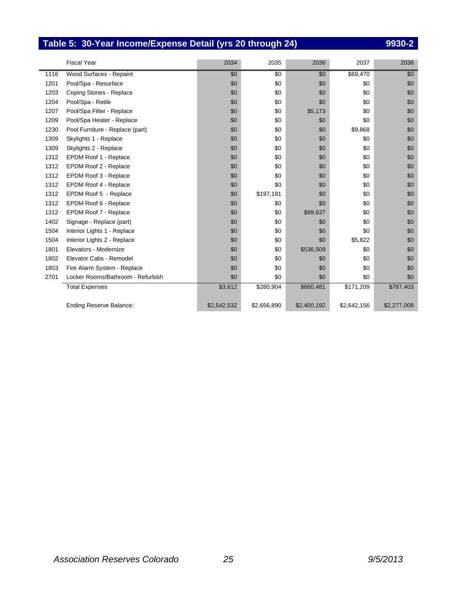### Table 5: 30-Year Income/Expense Detail (yrs 20 through 24) 9930-2

|      | <b>Fiscal Year</b>                | 2034        | 2035        | 2036        | 2037                  | 2038        |
|------|-----------------------------------|-------------|-------------|-------------|-----------------------|-------------|
| 1116 | Wood Surfaces - Repaint           | \$0         | \$0         | \$0         | \$69,470              | \$0         |
| 1201 | Pool/Spa - Resurface              | \$0         | \$0         | \$0         | \$0                   | \$0         |
| 1203 | Coping Stones - Replace           | \$0         | \$0         | \$0         | \$0                   | \$0         |
| 1204 | Pool/Spa - Retile                 | \$0         | \$0         | \$0         | \$0                   | \$0         |
| 1207 | Pool/Spa Filter - Replace         | \$0         | \$0         | \$5,173     | \$0                   | \$0         |
| 1209 | Pool/Spa Heater - Replace         | \$0         | \$0         | \$0         | \$0                   | \$0         |
| 1230 | Pool Furniture - Replace (part)   | \$0         | \$0         | \$0         | \$9,868               | \$0         |
| 1309 | Skylights 1 - Replace             | \$0         | \$0         | \$0         | \$0                   | \$0         |
| 1309 | Skylights 2 - Replace             | \$0         | \$0         | \$0         | \$0                   | \$0         |
| 1312 | EPDM Roof 1 - Replace             | \$0         | \$0         | \$0         | \$0                   | \$0         |
| 1312 | EPDM Roof 2 - Replace             | \$0         | \$0         | \$0         | \$0                   | \$0         |
| 1312 | EPDM Roof 3 - Replace             | \$0         | \$0         | \$0         | \$0                   | \$0         |
| 1312 | EPDM Roof 4 - Replace             | \$0         | \$0         | \$0         | \$0                   | \$0         |
| 1312 | EPDM Roof 5 - Replace             | \$0         | \$197,191   | \$0         | \$0                   | \$0         |
| 1312 | EPDM Roof 6 - Replace             | \$0         | \$0         | \$0         | \$0                   | \$0         |
| 1312 | EPDM Roof 7 - Replace             | \$0         | \$0         | \$99,637    | \$0                   | \$0         |
| 1402 | Signage - Replace (part)          | \$0         | \$0         | \$0         | \$0                   | \$0         |
| 1504 | Interior Lights 1 - Replace       | \$0         | \$0         | \$0         | \$0                   | \$0         |
| 1504 | Interior Lights 2 - Replace       | \$0         | \$0         | \$0         | \$5,822               | \$0         |
| 1801 | Elevators - Modernize             | \$0         | \$0         | \$536,509   | \$0                   | \$0         |
| 1802 | Elevator Cabs - Remodel           | \$0         | \$0         | \$0         | \$0                   | \$0         |
| 1803 | Fire Alarm System - Replace       | \$0         | \$0         | \$0         | \$0                   | \$0         |
| 2701 | Locker Rooms/Bathroom - Refurbish | \$0         | \$0         | \$0         | \$0                   | \$0         |
|      | <b>Total Expenses</b>             | \$3,612     | \$280,904   | \$660,481   | $\overline{$}171,209$ | \$787,403   |
|      | <b>Ending Reserve Balance:</b>    | \$2,542,532 | \$2,656,890 | \$2,400,192 | \$2,642,156           | \$2,277,009 |
|      |                                   |             |             |             |                       |             |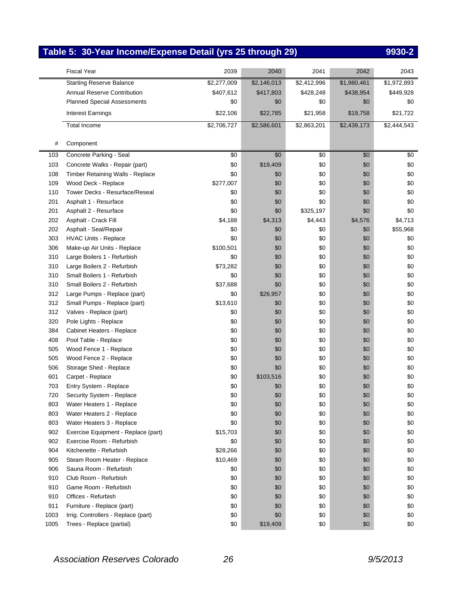| Table 5: 30-Year Income/Expense Detail (yrs 25 through 29) |                                     |             |             |             |             | 9930-2      |
|------------------------------------------------------------|-------------------------------------|-------------|-------------|-------------|-------------|-------------|
|                                                            | <b>Fiscal Year</b>                  | 2039        | 2040        | 2041        | 2042        | 2043        |
|                                                            | <b>Starting Reserve Balance</b>     | \$2,277,009 | \$2,146,013 | \$2,412,996 | \$1,980,461 | \$1,972,893 |
|                                                            | <b>Annual Reserve Contribution</b>  | \$407,612   | \$417,803   | \$428,248   | \$438,954   | \$449,928   |
|                                                            | <b>Planned Special Assessments</b>  | \$0         | \$0         | \$0         | \$0         | \$0         |
|                                                            |                                     |             |             |             |             |             |
|                                                            | <b>Interest Earnings</b>            | \$22,106    | \$22,785    | \$21,958    | \$19,758    | \$21,722    |
|                                                            | Total Income                        | \$2,706,727 | \$2,586,601 | \$2,863,201 | \$2,439,173 | \$2,444,543 |
| #                                                          | Component                           |             |             |             |             |             |
| 103                                                        | Concrete Parking - Seal             | \$0         | \$0         | \$0         | \$0         | \$0         |
| 103                                                        | Concrete Walks - Repair (part)      | \$0         | \$19,409    | \$0         | \$0         | \$0         |
| 108                                                        | Timber Retaining Walls - Replace    | \$0         | \$0         | \$0         | \$0         | \$0         |
| 109                                                        | Wood Deck - Replace                 | \$277,007   | \$0         | \$0         | \$0         | \$0         |
| 110                                                        | Tower Decks - Resurface/Reseal      | \$0         | \$0         | \$0         | \$0         | \$0         |
| 201                                                        | Asphalt 1 - Resurface               | \$0         | \$0         | \$0         | \$0         | \$0         |
| 201                                                        | Asphalt 2 - Resurface               | \$0         | \$0         | \$325,197   | \$0         | \$0         |
| 202                                                        | Asphalt - Crack Fill                | \$4,188     | \$4,313     | \$4,443     | \$4,576     | \$4,713     |
| 202                                                        | Asphalt - Seal/Repair               | \$0         | \$0         | \$0         | \$0         | \$55,968    |
| 303                                                        | <b>HVAC Units - Replace</b>         | \$0         | \$0         | \$0         | \$0         | \$0         |
| 306                                                        | Make-up Air Units - Replace         | \$100,501   | \$0         | \$0         | \$0         | \$0         |
| 310                                                        | Large Boilers 1 - Refurbish         | \$0         | \$0         | \$0         | \$0         | \$0         |
| 310                                                        | Large Boilers 2 - Refurbish         | \$73,282    | \$0         | \$0         | \$0         | \$0         |
| 310                                                        | Small Boilers 1 - Refurbish         | \$0         | \$0         | \$0         | \$0         | \$0         |
| 310                                                        | Small Boilers 2 - Refurbish         | \$37,688    | \$0         | \$0         | \$0         | \$0         |
| 312                                                        | Large Pumps - Replace (part)        | \$0         | \$26,957    | \$0         | \$0         | \$0         |
| 312                                                        | Small Pumps - Replace (part)        | \$13,610    | \$0         | \$0         | \$0         | \$0         |
| 312                                                        | Valves - Replace (part)             | \$0         | \$0         | \$0         | \$0         | \$0         |
| 320                                                        | Pole Lights - Replace               | \$0         | \$0         | \$0         | \$0         | \$0         |
| 384                                                        | Cabinet Heaters - Replace           | \$0         | \$0         | \$0         | \$0         | \$0         |
| 408                                                        | Pool Table - Replace                | \$0         | \$0         | \$0         | \$0         | \$0         |
| 505                                                        | Wood Fence 1 - Replace              | \$0         | \$0         | \$0         | \$0         | \$0         |
| 505                                                        | Wood Fence 2 - Replace              | \$0         | \$0         | \$0         | \$0         | \$0         |
| 506                                                        | Storage Shed - Replace              | \$0         | \$0         | \$0         | \$0         | \$0         |
| 601                                                        | Carpet - Replace                    | \$0         | \$103,516   | \$0         | \$0         | \$0         |
| 703                                                        | Entry System - Replace              | \$0         | \$0         | \$0         | \$0         | \$0         |
| 720                                                        | Security System - Replace           | \$0         | \$0         | \$0         | \$0         | \$0         |
| 803                                                        | Water Heaters 1 - Replace           | \$0         | \$0         | \$0         | \$0         | \$0         |
| 803                                                        | Water Heaters 2 - Replace           | \$0         | \$0         | \$0         | \$0         | \$0         |
| 803                                                        | Water Heaters 3 - Replace           | \$0         | \$0         | \$0         | \$0         | \$0         |
| 902                                                        | Exercise Equipment - Replace (part) | \$15,703    | \$0         | \$0         | \$0         | \$0         |
| 902                                                        | Exercise Room - Refurbish           | \$0         | \$0         | \$0         | \$0         | \$0         |
| 904                                                        | Kitchenette - Refurbish             | \$28,266    | \$0         | \$0         | \$0         | \$0         |
| 905                                                        | Steam Room Heater - Replace         | \$10,469    | \$0         | \$0         | \$0         | \$0         |
| 906                                                        | Sauna Room - Refurbish              | \$0         | \$0         | \$0         | \$0         | \$0         |
| 910                                                        | Club Room - Refurbish               | \$0         | \$0         | \$0         | \$0         | \$0         |
| 910                                                        | Game Room - Refurbish               | \$0         | \$0         | \$0         | \$0         | \$0         |
| 910                                                        | Offices - Refurbish                 | \$0         | \$0         | \$0         | \$0         | \$0         |
| 911                                                        | Furniture - Replace (part)          | \$0         | \$0         | \$0         | \$0         | \$0         |
| 1003                                                       | Irrig. Controllers - Replace (part) | \$0         | \$0         | \$0         | \$0         | \$0         |
| 1005                                                       | Trees - Replace (partial)           | \$0         | \$19,409    | \$0         | \$0         | \$0         |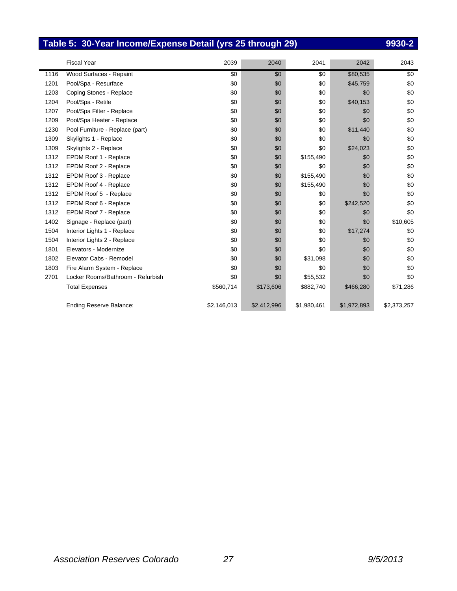| Table 5: 30-Year Income/Expense Detail (yrs 25 through 29) |                                   |             |             |             |             | 9930-2      |
|------------------------------------------------------------|-----------------------------------|-------------|-------------|-------------|-------------|-------------|
|                                                            |                                   |             |             |             |             |             |
|                                                            | <b>Fiscal Year</b>                | 2039        | 2040        | 2041        | 2042        | 2043        |
| 1116                                                       | Wood Surfaces - Repaint           | \$0         | \$0         | \$0         | \$80,535    | \$0         |
| 1201                                                       | Pool/Spa - Resurface              | \$0         | \$0         | \$0         | \$45,759    | \$0         |
| 1203                                                       | Coping Stones - Replace           | \$0         | \$0         | \$0         | \$0         | \$0         |
| 1204                                                       | Pool/Spa - Retile                 | \$0         | \$0         | \$0         | \$40,153    | \$0         |
| 1207                                                       | Pool/Spa Filter - Replace         | \$0         | \$0         | \$0         | \$0         | \$0         |
| 1209                                                       | Pool/Spa Heater - Replace         | \$0         | \$0         | \$0         | \$0         | \$0         |
| 1230                                                       | Pool Furniture - Replace (part)   | \$0         | \$0         | \$0         | \$11,440    | \$0         |
| 1309                                                       | Skylights 1 - Replace             | \$0         | \$0         | \$0         | \$0         | \$0         |
| 1309                                                       | Skylights 2 - Replace             | \$0         | \$0         | \$0         | \$24,023    | \$0         |
| 1312                                                       | EPDM Roof 1 - Replace             | \$0         | \$0         | \$155,490   | \$0         | \$0         |
| 1312                                                       | EPDM Roof 2 - Replace             | \$0         | \$0         | \$0         | \$0         | \$0         |
| 1312                                                       | EPDM Roof 3 - Replace             | \$0         | \$0         | \$155,490   | \$0         | \$0         |
| 1312                                                       | EPDM Roof 4 - Replace             | \$0         | \$0         | \$155,490   | \$0         | \$0         |
| 1312                                                       | EPDM Roof 5 - Replace             | \$0         | \$0         | \$0         | \$0         | \$0         |
| 1312                                                       | EPDM Roof 6 - Replace             | \$0         | \$0         | \$0         | \$242,520   | \$0         |
| 1312                                                       | EPDM Roof 7 - Replace             | \$0         | \$0         | \$0         | \$0         | \$0         |
| 1402                                                       | Signage - Replace (part)          | \$0         | \$0         | \$0         | \$0         | \$10,605    |
| 1504                                                       | Interior Lights 1 - Replace       | \$0         | \$0         | \$0         | \$17,274    | \$0         |
| 1504                                                       | Interior Lights 2 - Replace       | \$0         | \$0         | \$0         | \$0         | \$0         |
| 1801                                                       | Elevators - Modernize             | \$0         | \$0         | \$0         | \$0         | \$0         |
| 1802                                                       | Elevator Cabs - Remodel           | \$0         | \$0         | \$31,098    | \$0         | \$0         |
| 1803                                                       | Fire Alarm System - Replace       | \$0         | \$0         | \$0         | \$0         | \$0         |
| 2701                                                       | Locker Rooms/Bathroom - Refurbish | \$0         | \$0         | \$55,532    | \$0         | \$0         |
|                                                            | <b>Total Expenses</b>             | \$560,714   | \$173,606   | \$882,740   | \$466,280   | \$71,286    |
|                                                            |                                   |             |             |             |             |             |
|                                                            | Ending Reserve Balance:           | \$2,146,013 | \$2,412,996 | \$1,980,461 | \$1,972,893 | \$2,373,257 |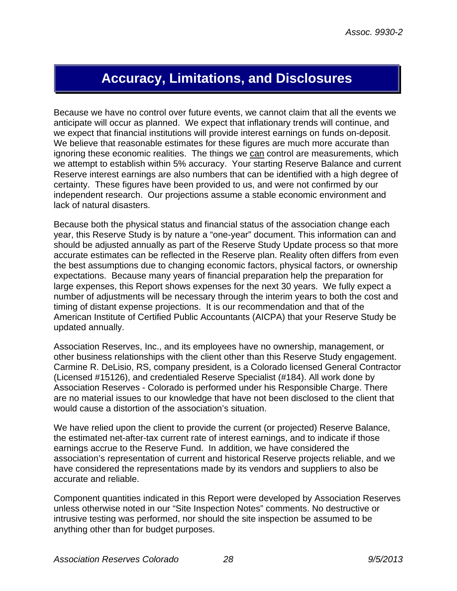# **Accuracy, Limitations, and Disclosures**

Because we have no control over future events, we cannot claim that all the events we anticipate will occur as planned. We expect that inflationary trends will continue, and we expect that financial institutions will provide interest earnings on funds on-deposit. We believe that reasonable estimates for these figures are much more accurate than ignoring these economic realities. The things we can control are measurements, which we attempt to establish within 5% accuracy. Your starting Reserve Balance and current Reserve interest earnings are also numbers that can be identified with a high degree of certainty. These figures have been provided to us, and were not confirmed by our independent research. Our projections assume a stable economic environment and lack of natural disasters.

Because both the physical status and financial status of the association change each year, this Reserve Study is by nature a "one-year" document. This information can and should be adjusted annually as part of the Reserve Study Update process so that more accurate estimates can be reflected in the Reserve plan. Reality often differs from even the best assumptions due to changing economic factors, physical factors, or ownership expectations. Because many years of financial preparation help the preparation for large expenses, this Report shows expenses for the next 30 years. We fully expect a number of adjustments will be necessary through the interim years to both the cost and timing of distant expense projections. It is our recommendation and that of the American Institute of Certified Public Accountants (AICPA) that your Reserve Study be updated annually.

Association Reserves, Inc., and its employees have no ownership, management, or other business relationships with the client other than this Reserve Study engagement. Carmine R. DeLisio, RS, company president, is a Colorado licensed General Contractor (Licensed #15126), and credentialed Reserve Specialist (#184). All work done by Association Reserves - Colorado is performed under his Responsible Charge. There are no material issues to our knowledge that have not been disclosed to the client that would cause a distortion of the association's situation.

We have relied upon the client to provide the current (or projected) Reserve Balance, the estimated net-after-tax current rate of interest earnings, and to indicate if those earnings accrue to the Reserve Fund. In addition, we have considered the association's representation of current and historical Reserve projects reliable, and we have considered the representations made by its vendors and suppliers to also be accurate and reliable.

Component quantities indicated in this Report were developed by Association Reserves unless otherwise noted in our "Site Inspection Notes" comments. No destructive or intrusive testing was performed, nor should the site inspection be assumed to be anything other than for budget purposes.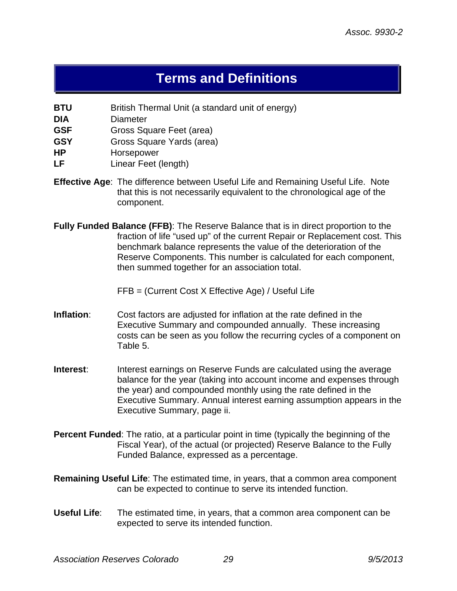## **Terms and Definitions**

- **BTU** British Thermal Unit (a standard unit of energy)
- **DIA** Diameter
- **GSF Gross Square Feet (area)**
- **GSY** Gross Square Yards (area)
- **HP** Horsepower
- **LF** Linear Feet (length)
- **Effective Age**: The difference between Useful Life and Remaining Useful Life. Note that this is not necessarily equivalent to the chronological age of the component.
- **Fully Funded Balance (FFB)**: The Reserve Balance that is in direct proportion to the fraction of life "used up" of the current Repair or Replacement cost. This benchmark balance represents the value of the deterioration of the Reserve Components. This number is calculated for each component, then summed together for an association total.

FFB = (Current Cost X Effective Age) / Useful Life

- **Inflation**: Cost factors are adjusted for inflation at the rate defined in the Executive Summary and compounded annually. These increasing costs can be seen as you follow the recurring cycles of a component on Table 5.
- **Interest:** Interest earnings on Reserve Funds are calculated using the average balance for the year (taking into account income and expenses through the year) and compounded monthly using the rate defined in the Executive Summary. Annual interest earning assumption appears in the Executive Summary, page ii.
- **Percent Funded**: The ratio, at a particular point in time (typically the beginning of the Fiscal Year), of the actual (or projected) Reserve Balance to the Fully Funded Balance, expressed as a percentage.
- **Remaining Useful Life**: The estimated time, in years, that a common area component can be expected to continue to serve its intended function.
- **Useful Life**: The estimated time, in years, that a common area component can be expected to serve its intended function.